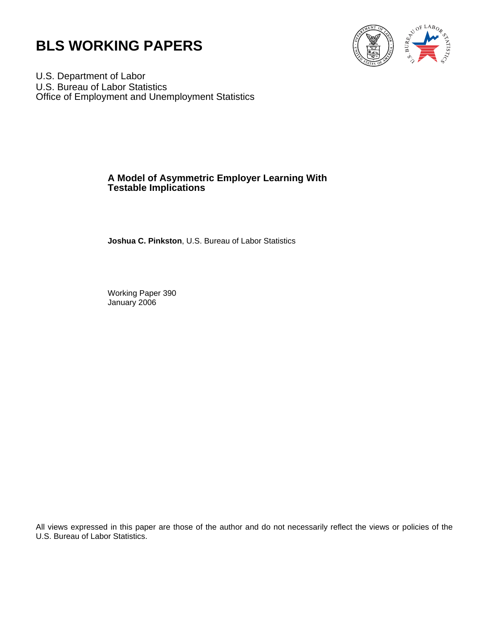



U.S. Department of Labor U.S. Bureau of Labor Statistics Office of Employment and Unemployment Statistics

## **A Model of Asymmetric Employer Learning With Testable Implications**

**Joshua C. Pinkston**, U.S. Bureau of Labor Statistics

Working Paper 390 January 2006

All views expressed in this paper are those of the author and do not necessarily reflect the views or policies of the U.S. Bureau of Labor Statistics.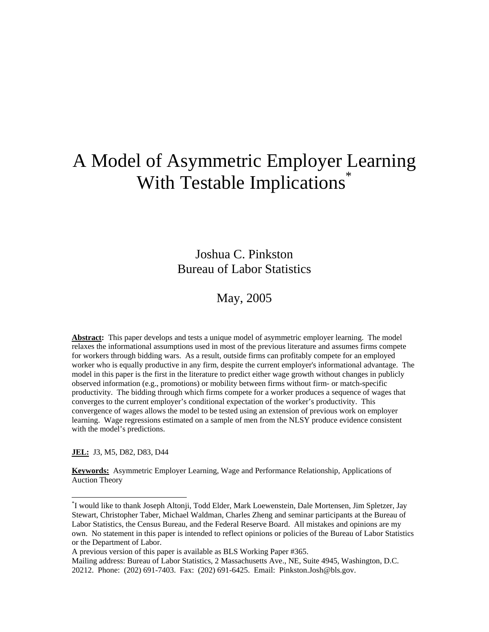# A Model of Asymmetric Employer Learning With Testable Implications<sup>\*</sup>

Joshua C. Pinkston Bureau of Labor Statistics

## May, 2005

Abstract: This paper develops and tests a unique model of asymmetric employer learning. The model relaxes the informational assumptions used in most of the previous literature and assumes firms compete for workers through bidding wars. As a result, outside firms can profitably compete for an employed worker who is equally productive in any firm, despite the current employer's informational advantage. The model in this paper is the first in the literature to predict either wage growth without changes in publicly observed information (e.g., promotions) or mobility between firms without firm- or match-specific productivity. The bidding through which firms compete for a worker produces a sequence of wages that converges to the current employer's conditional expectation of the worker's productivity. This convergence of wages allows the model to be tested using an extension of previous work on employer learning. Wage regressions estimated on a sample of men from the NLSY produce evidence consistent with the model's predictions.

**JEL:** J3, M5, D82, D83, D44

-

<sup>U</sup>**Keywords:**U Asymmetric Employer Learning, Wage and Performance Relationship, Applications of Auction Theory

<sup>&</sup>lt;sup>\*</sup>I would like to thank Joseph Altonji, Todd Elder, Mark Loewenstein, Dale Mortensen, Jim Spletzer, Jay Stewart, Christopher Taber, Michael Waldman, Charles Zheng and seminar participants at the Bureau of Labor Statistics, the Census Bureau, and the Federal Reserve Board. All mistakes and opinions are my own. No statement in this paper is intended to reflect opinions or policies of the Bureau of Labor Statistics or the Department of Labor.

A previous version of this paper is available as BLS Working Paper #365.

Mailing address: Bureau of Labor Statistics, 2 Massachusetts Ave., NE, Suite 4945, Washington, D.C. 20212. Phone: (202) 691-7403. Fax: (202) 691-6425. Email: Pinkston.Josh@bls.gov.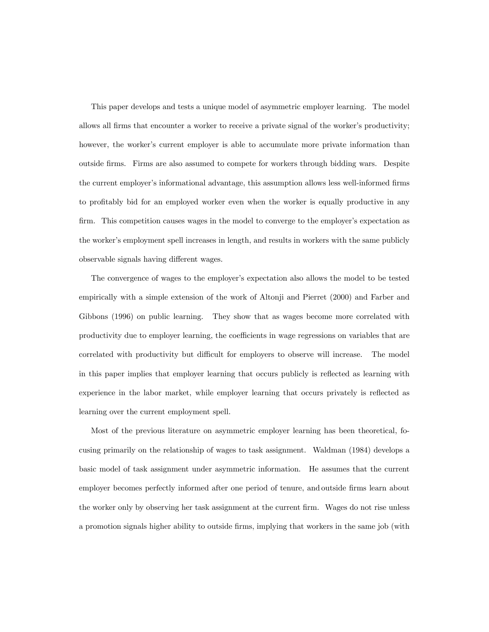This paper develops and tests a unique model of asymmetric employer learning. The model allows all firms that encounter a worker to receive a private signal of the worker's productivity; however, the worker's current employer is able to accumulate more private information than outside firms. Firms are also assumed to compete for workers through bidding wars. Despite the current employer's informational advantage, this assumption allows less well-informed firms to profitably bid for an employed worker even when the worker is equally productive in any firm. This competition causes wages in the model to converge to the employer's expectation as the worker's employment spell increases in length, and results in workers with the same publicly observable signals having different wages.

The convergence of wages to the employer's expectation also allows the model to be tested empirically with a simple extension of the work of Altonji and Pierret (2000) and Farber and Gibbons (1996) on public learning. They show that as wages become more correlated with productivity due to employer learning, the coefficients in wage regressions on variables that are correlated with productivity but difficult for employers to observe will increase. The model in this paper implies that employer learning that occurs publicly is reflected as learning with experience in the labor market, while employer learning that occurs privately is reflected as learning over the current employment spell.

Most of the previous literature on asymmetric employer learning has been theoretical, focusing primarily on the relationship of wages to task assignment. Waldman (1984) develops a basic model of task assignment under asymmetric information. He assumes that the current employer becomes perfectly informed after one period of tenure, and outside firms learn about the worker only by observing her task assignment at the current firm. Wages do not rise unless a promotion signals higher ability to outside firms, implying that workers in the same job (with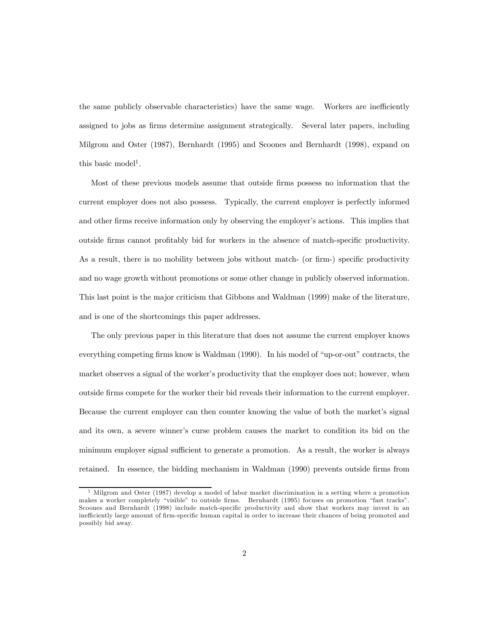the same publicly observable characteristics) have the same wage. Workers are inefficiently assigned to jobs as firms determine assignment strategically. Several later papers, including Milgrom and Oster (1987), Bernhardt (1995) and Scoones and Bernhardt (1998), expand on this basic model<sup>1</sup>.

Most of these previous models assume that outside firms possess no information that the current employer does not also possess. Typically, the current employer is perfectly informed and other firms receive information only by observing the employer's actions. This implies that outside firms cannot profitably bid for workers in the absence of match-specific productivity. As a result, there is no mobility between jobs without match- (or firm-) specific productivity and no wage growth without promotions or some other change in publicly observed information. This last point is the major criticism that Gibbons and Waldman (1999) make of the literature, and is one of the shortcomings this paper addresses.

The only previous paper in this literature that does not assume the current employer knows everything competing firms know is Waldman (1990). In his model of "up-or-out" contracts, the market observes a signal of the worker's productivity that the employer does not; however, when outside firms compete for the worker their bid reveals their information to the current employer. Because the current employer can then counter knowing the value of both the market's signal and its own, a severe winner's curse problem causes the market to condition its bid on the minimum employer signal sufficient to generate a promotion. As a result, the worker is always retained. In essence, the bidding mechanism in Waldman (1990) prevents outside firms from

<sup>1</sup> Milgrom and Oster (1987) develop a model of labor market discrimination in a setting where a promotion makes a worker completely "visible" to outside firms. Bernhardt (1995) focuses on promotion "fast tracks". Scoones and Bernhardt (1998) include match-specific productivity and show that workers may invest in an inefficiently large amount of firm-specific human capital in order to increase their chances of being promoted and possibly bid away.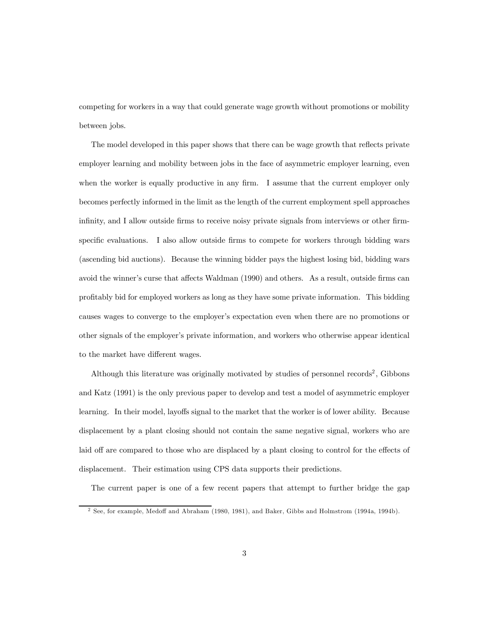competing for workers in a way that could generate wage growth without promotions or mobility between jobs.

The model developed in this paper shows that there can be wage growth that reflects private employer learning and mobility between jobs in the face of asymmetric employer learning, even when the worker is equally productive in any firm. I assume that the current employer only becomes perfectly informed in the limit as the length of the current employment spell approaches infinity, and I allow outside firms to receive noisy private signals from interviews or other firmspecific evaluations. I also allow outside firms to compete for workers through bidding wars (ascending bid auctions). Because the winning bidder pays the highest losing bid, bidding wars avoid the winner's curse that affects Waldman (1990) and others. As a result, outside firms can profitably bid for employed workers as long as they have some private information. This bidding causes wages to converge to the employer's expectation even when there are no promotions or other signals of the employer's private information, and workers who otherwise appear identical to the market have different wages.

Although this literature was originally motivated by studies of personnel records<sup>2</sup>, Gibbons and Katz (1991) is the only previous paper to develop and test a model of asymmetric employer learning. In their model, layoffs signal to the market that the worker is of lower ability. Because displacement by a plant closing should not contain the same negative signal, workers who are laid off are compared to those who are displaced by a plant closing to control for the effects of displacement. Their estimation using CPS data supports their predictions.

The current paper is one of a few recent papers that attempt to further bridge the gap

<sup>2</sup> See, for example, Medoff and Abraham (1980, 1981), and Baker, Gibbs and Holmstrom (1994a, 1994b).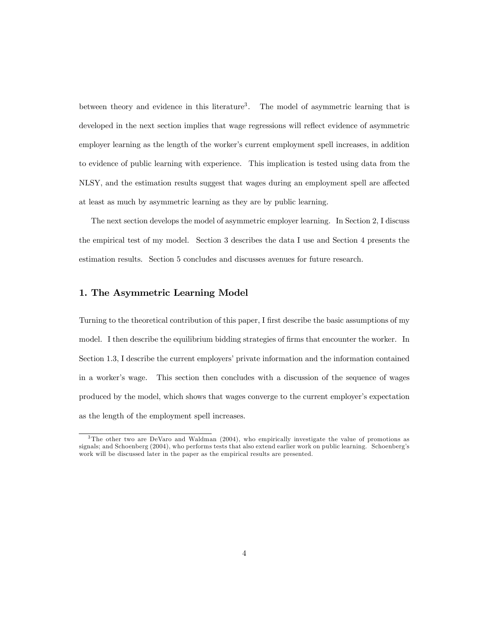between theory and evidence in this literature<sup>3</sup>. The model of asymmetric learning that is developed in the next section implies that wage regressions will reflect evidence of asymmetric employer learning as the length of the worker's current employment spell increases, in addition to evidence of public learning with experience. This implication is tested using data from the NLSY, and the estimation results suggest that wages during an employment spell are affected at least as much by asymmetric learning as they are by public learning.

The next section develops the model of asymmetric employer learning. In Section 2, I discuss the empirical test of my model. Section 3 describes the data I use and Section 4 presents the estimation results. Section 5 concludes and discusses avenues for future research.

## 1. The Asymmetric Learning Model

Turning to the theoretical contribution of this paper, I first describe the basic assumptions of my model. I then describe the equilibrium bidding strategies of firms that encounter the worker. In Section 1.3, I describe the current employers' private information and the information contained in a worker's wage. This section then concludes with a discussion of the sequence of wages produced by the model, which shows that wages converge to the current employer's expectation as the length of the employment spell increases.

<sup>&</sup>lt;sup>3</sup>The other two are DeVaro and Waldman (2004), who empirically investigate the value of promotions as signals; and Schoenberg (2004), who performs tests that also extend earlier work on public learning. Schoenberg's work will be discussed later in the paper as the empirical results are presented.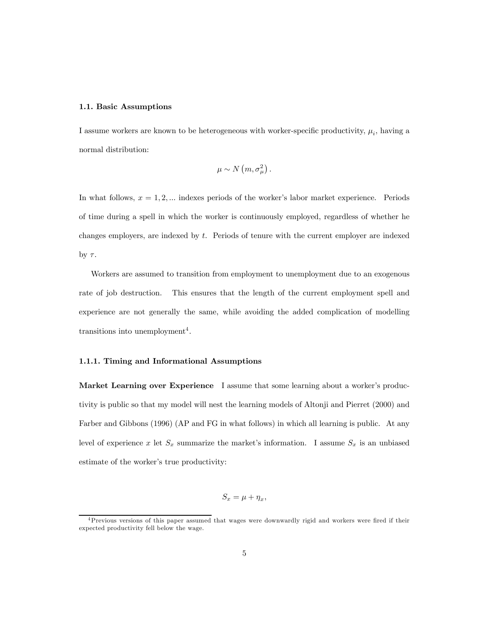### 1.1. Basic Assumptions

I assume workers are known to be heterogeneous with worker-specific productivity,  $\mu_i$ , having a normal distribution:

$$
\mu \sim N\left(m,\sigma_{\mu}^{2}\right).
$$

In what follows,  $x = 1, 2, \dots$  indexes periods of the worker's labor market experience. Periods of time during a spell in which the worker is continuously employed, regardless of whether he changes employers, are indexed by t. Periods of tenure with the current employer are indexed by  $\tau$ .

Workers are assumed to transition from employment to unemployment due to an exogenous rate of job destruction. This ensures that the length of the current employment spell and experience are not generally the same, while avoiding the added complication of modelling transitions into unemployment<sup>4</sup>.

## 1.1.1. Timing and Informational Assumptions

Market Learning over Experience I assume that some learning about a worker's productivity is public so that my model will nest the learning models of Altonji and Pierret (2000) and Farber and Gibbons (1996) (AP and FG in what follows) in which all learning is public. At any level of experience x let  $S_x$  summarize the market's information. I assume  $S_x$  is an unbiased estimate of the worker's true productivity:

$$
S_x = \mu + \eta_x,
$$

<sup>4</sup>Previous versions of this paper assumed that wages were downwardly rigid and workers were fired if their expected productivity fell below the wage.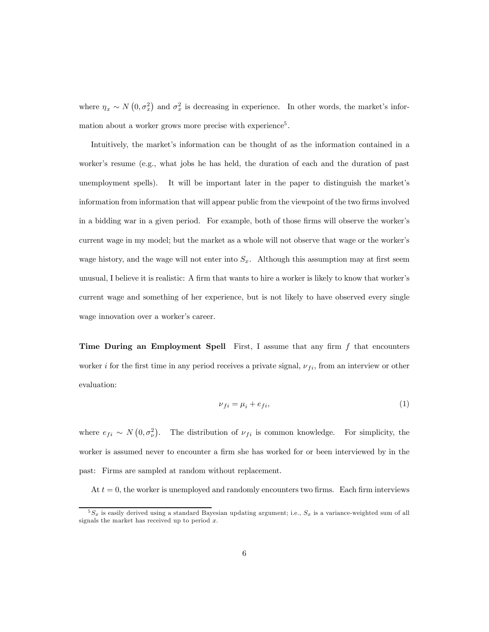where  $\eta_x \sim N(0, \sigma_x^2)$  and  $\sigma_x^2$  is decreasing in experience. In other words, the market's information about a worker grows more precise with experience<sup>5</sup>.

Intuitively, the market's information can be thought of as the information contained in a worker's resume (e.g., what jobs he has held, the duration of each and the duration of past unemployment spells). It will be important later in the paper to distinguish the market's information from information that will appear public from the viewpoint of the two firms involved in a bidding war in a given period. For example, both of those firms will observe the worker's current wage in my model; but the market as a whole will not observe that wage or the worker's wage history, and the wage will not enter into  $S_x$ . Although this assumption may at first seem unusual, I believe it is realistic: A firm that wants to hire a worker is likely to know that worker's current wage and something of her experience, but is not likely to have observed every single wage innovation over a worker's career.

**Time During an Employment Spell** First, I assume that any firm  $f$  that encounters worker i for the first time in any period receives a private signal,  $\nu_{fi}$ , from an interview or other evaluation:

$$
\nu_{fi} = \mu_i + e_{fi},\tag{1}
$$

where  $e_{fi} \sim N(0, \sigma_{\nu}^2)$ . The distribution of  $\nu_{fi}$  is common knowledge. For simplicity, the worker is assumed never to encounter a firm she has worked for or been interviewed by in the past: Firms are sampled at random without replacement.

At  $t = 0$ , the worker is unemployed and randomly encounters two firms. Each firm interviews

 $5S_x$  is easily derived using a standard Bayesian updating argument; i.e.,  $S_x$  is a variance-weighted sum of all signals the market has received up to period  $x$ .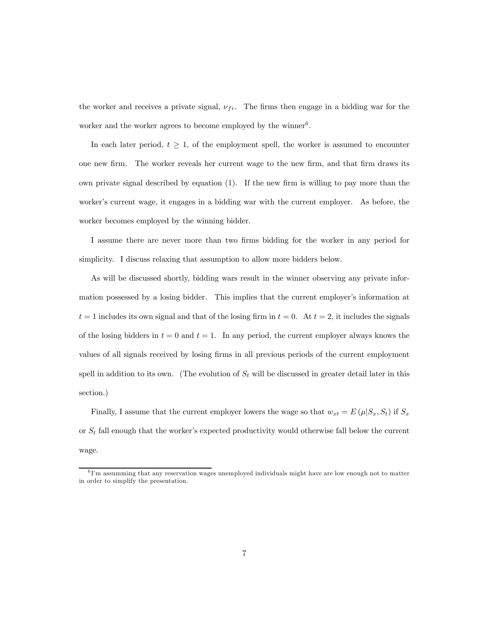the worker and receives a private signal,  $\nu_{fi}$ . The firms then engage in a bidding war for the worker and the worker agrees to become employed by the winner<sup>6</sup>.

In each later period,  $t \geq 1$ , of the employment spell, the worker is assumed to encounter one new firm. The worker reveals her current wage to the new firm, and that firm draws its own private signal described by equation (1). If the new firm is willing to pay more than the worker's current wage, it engages in a bidding war with the current employer. As before, the worker becomes employed by the winning bidder.

I assume there are never more than two firms bidding for the worker in any period for simplicity. I discuss relaxing that assumption to allow more bidders below.

As will be discussed shortly, bidding wars result in the winner observing any private information possessed by a losing bidder. This implies that the current employer's information at  $t = 1$  includes its own signal and that of the losing firm in  $t = 0$ . At  $t = 2$ , it includes the signals of the losing bidders in  $t = 0$  and  $t = 1$ . In any period, the current employer always knows the values of all signals received by losing firms in all previous periods of the current employment spell in addition to its own. (The evolution of  $S_t$  will be discussed in greater detail later in this section.)

Finally, I assume that the current employer lowers the wage so that  $w_{xt} = E(\mu|S_x, S_t)$  if  $S_x$ or  $S_t$  fall enough that the worker's expected productivity would otherwise fall below the current wage.

 $6$ I'm assumming that any reservation wages unemployed individuals might have are low enough not to matter in order to simplify the presentation.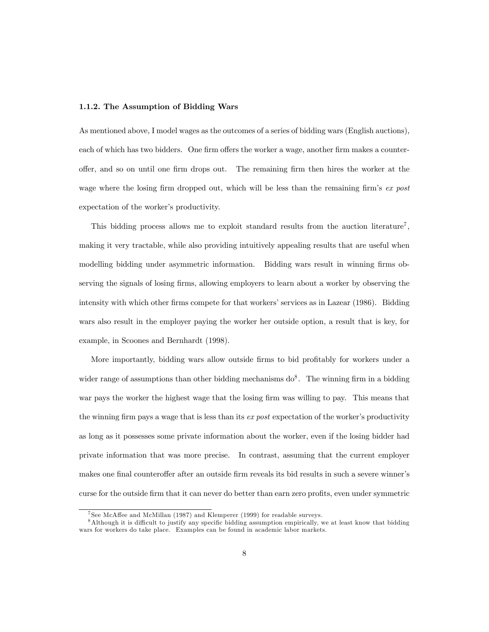### 1.1.2. The Assumption of Bidding Wars

As mentioned above, I model wages as the outcomes of a series of bidding wars (English auctions), each of which has two bidders. One firm offers the worker a wage, another firm makes a counteroffer, and so on until one firm drops out. The remaining firm then hires the worker at the wage where the losing firm dropped out, which will be less than the remaining firm's ex post expectation of the worker's productivity.

This bidding process allows me to exploit standard results from the auction literature<sup>7</sup>. making it very tractable, while also providing intuitively appealing results that are useful when modelling bidding under asymmetric information. Bidding wars result in winning firms observing the signals of losing firms, allowing employers to learn about a worker by observing the intensity with which other firms compete for that workers' services as in Lazear (1986). Bidding wars also result in the employer paying the worker her outside option, a result that is key, for example, in Scoones and Bernhardt (1998).

More importantly, bidding wars allow outside firms to bid profitably for workers under a wider range of assumptions than other bidding mechanisms  $d\delta^8$ . The winning firm in a bidding war pays the worker the highest wage that the losing firm was willing to pay. This means that the winning firm pays a wage that is less than its  $\epsilon x$  post expectation of the worker's productivity as long as it possesses some private information about the worker, even if the losing bidder had private information that was more precise. In contrast, assuming that the current employer makes one final counteroffer after an outside firm reveals its bid results in such a severe winner's curse for the outside firm that it can never do better than earn zero profits, even under symmetric

<sup>7</sup> See McAffee and McMillan (1987) and Klemperer (1999) for readable surveys.

<sup>&</sup>lt;sup>8</sup>Although it is difficult to justify any specific bidding assumption empirically, we at least know that bidding wars for workers do take place. Examples can be found in academic labor markets.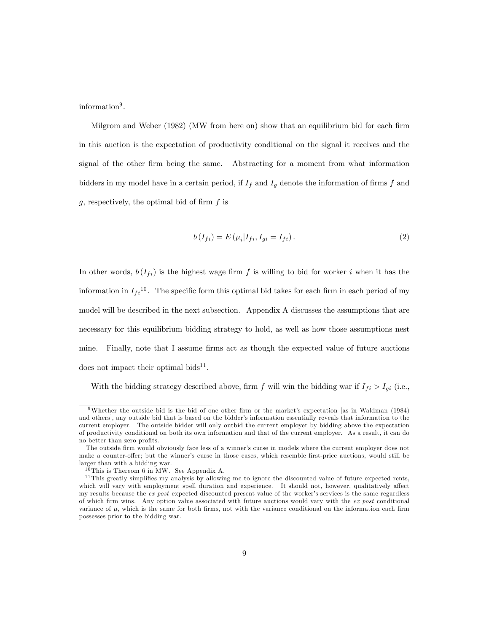information<sup>9</sup>.

Milgrom and Weber (1982) (MW from here on) show that an equilibrium bid for each firm in this auction is the expectation of productivity conditional on the signal it receives and the signal of the other firm being the same. Abstracting for a moment from what information bidders in my model have in a certain period, if  $I_f$  and  $I_g$  denote the information of firms f and g, respectively, the optimal bid of firm  $f$  is

$$
b(I_{fi}) = E(\mu_i | I_{fi}, I_{gi} = I_{fi}).
$$
\n(2)

In other words,  $b(I_{fi})$  is the highest wage firm f is willing to bid for worker i when it has the information in  $I_{fi}^{10}$ . The specific form this optimal bid takes for each firm in each period of my model will be described in the next subsection. Appendix A discusses the assumptions that are necessary for this equilibrium bidding strategy to hold, as well as how those assumptions nest mine. Finally, note that I assume firms act as though the expected value of future auctions does not impact their optimal bids<sup>11</sup>.

With the bidding strategy described above, firm f will win the bidding war if  $I_{fi} > I_{gi}$  (i.e.,

<sup>&</sup>lt;sup>9</sup>Whether the outside bid is the bid of one other firm or the market's expectation [as in Waldman (1984) and others], any outside bid that is based on the bidder's information essentially reveals that information to the current employer. The outside bidder will only outbid the current employer by bidding above the expectation of productivity conditional on both its own information and that of the current employer. As a result, it can do no better than zero profits.

The outside firm would obviously face less of a winner's curse in models where the current employer does not make a counter-offer; but the winner's curse in those cases, which resemble first-price auctions, would still be larger than with a bidding war.

 $10$  This is Thereom 6 in MW. See Appendix A.

 $11$ This greatly simplifies my analysis by allowing me to ignore the discounted value of future expected rents, which will vary with employment spell duration and experience. It should not, however, qualitatively affect my results because the ex post expected discounted present value of the worker's services is the same regardless of which firm wins. Any option value associated with future auctions would vary with the  $ex\ post$  conditional variance of  $\mu$ , which is the same for both firms, not with the variance conditional on the information each firm possesses prior to the bidding war.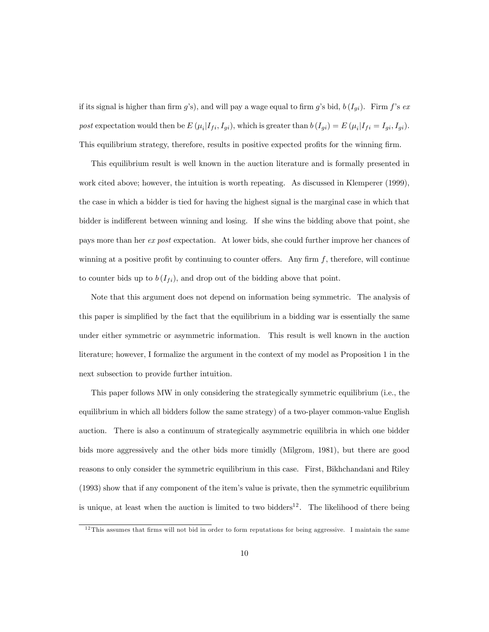if its signal is higher than firm g's), and will pay a wage equal to firm g's bid,  $b(I_{qi})$ . Firm f's expost expectation would then be  $E(\mu_i|I_{fi}, I_{gi})$ , which is greater than  $b(I_{gi}) = E(\mu_i|I_{fi} = I_{gi}, I_{gi})$ . This equilibrium strategy, therefore, results in positive expected profits for the winning firm.

This equilibrium result is well known in the auction literature and is formally presented in work cited above; however, the intuition is worth repeating. As discussed in Klemperer (1999), the case in which a bidder is tied for having the highest signal is the marginal case in which that bidder is indifferent between winning and losing. If she wins the bidding above that point, she pays more than her ex post expectation. At lower bids, she could further improve her chances of winning at a positive profit by continuing to counter offers. Any firm  $f$ , therefore, will continue to counter bids up to  $b(I_{fi})$ , and drop out of the bidding above that point.

Note that this argument does not depend on information being symmetric. The analysis of this paper is simplified by the fact that the equilibrium in a bidding war is essentially the same under either symmetric or asymmetric information. This result is well known in the auction literature; however, I formalize the argument in the context of my model as Proposition 1 in the next subsection to provide further intuition.

This paper follows MW in only considering the strategically symmetric equilibrium (i.e., the equilibrium in which all bidders follow the same strategy) of a two-player common-value English auction. There is also a continuum of strategically asymmetric equilibria in which one bidder bids more aggressively and the other bids more timidly (Milgrom, 1981), but there are good reasons to only consider the symmetric equilibrium in this case. First, Bikhchandani and Riley (1993) show that if any component of the item's value is private, then the symmetric equilibrium is unique, at least when the auction is limited to two bidders<sup>12</sup>. The likelihood of there being

<sup>&</sup>lt;sup>12</sup>This assumes that firms will not bid in order to form reputations for being aggressive. I maintain the same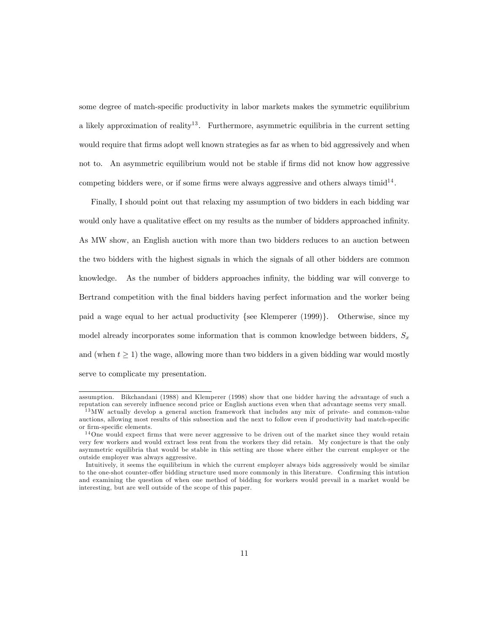some degree of match-specific productivity in labor markets makes the symmetric equilibrium a likely approximation of reality<sup>13</sup>. Furthermore, asymmetric equilibria in the current setting would require that firms adopt well known strategies as far as when to bid aggressively and when not to. An asymmetric equilibrium would not be stable if firms did not know how aggressive competing bidders were, or if some firms were always aggressive and others always timid<sup>14</sup>.

Finally, I should point out that relaxing my assumption of two bidders in each bidding war would only have a qualitative effect on my results as the number of bidders approached infinity. As MW show, an English auction with more than two bidders reduces to an auction between the two bidders with the highest signals in which the signals of all other bidders are common knowledge. As the number of bidders approaches infinity, the bidding war will converge to Bertrand competition with the final bidders having perfect information and the worker being paid a wage equal to her actual productivity {see Klemperer (1999)}. Otherwise, since my model already incorporates some information that is common knowledge between bidders,  $S_x$ and (when  $t \geq 1$ ) the wage, allowing more than two bidders in a given bidding war would mostly serve to complicate my presentation.

assumption. Bikchandani (1988) and Klemperer (1998) show that one bidder having the advantage of such a reputation can severely influence second price or English auctions even when that advantage seems very small.

<sup>&</sup>lt;sup>13</sup>MW actually develop a general auction framework that includes any mix of private- and common-value auctions, allowing most results of this subsection and the next to follow even if productivity had match-specific or firm-specific elements.

<sup>&</sup>lt;sup>14</sup>One would expect firms that were never aggressive to be driven out of the market since they would retain very few workers and would extract less rent from the workers they did retain. My conjecture is that the only asymmetric equilibria that would be stable in this setting are those where either the current employer or the outside employer was always aggressive.

Intuitively, it seems the equilibrium in which the current employer always bids aggressively would be similar to the one-shot counter-offer bidding structure used more commonly in this literature. Confirming this intution and examining the question of when one method of bidding for workers would prevail in a market would be interesting, but are well outside of the scope of this paper.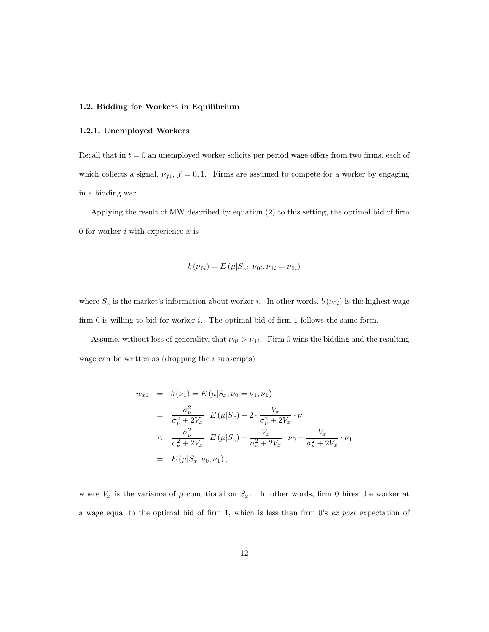## 1.2. Bidding for Workers in Equilibrium

## 1.2.1. Unemployed Workers

Recall that in  $t = 0$  an unemployed worker solicits per period wage offers from two firms, each of which collects a signal,  $\nu_{fi}$ ,  $f = 0, 1$ . Firms are assumed to compete for a worker by engaging in a bidding war.

Applying the result of MW described by equation (2) to this setting, the optimal bid of firm 0 for worker  $i$  with experience  $x$  is

$$
b(\nu_{0i}) = E(\mu | S_{xi}, \nu_{0i}, \nu_{1i} = \nu_{0i})
$$

where  $S_x$  is the market's information about worker i. In other words,  $b(\nu_{0i})$  is the highest wage firm  $0$  is willing to bid for worker  $i$ . The optimal bid of firm 1 follows the same form.

Assume, without loss of generality, that  $\nu_{0i} > \nu_{1i}$ . Firm 0 wins the bidding and the resulting wage can be written as (dropping the  $i$  subscripts)

$$
w_{x1} = b(\nu_1) = E(\mu|S_x, \nu_0 = \nu_1, \nu_1)
$$
  
= 
$$
\frac{\sigma_{\nu}^2}{\sigma_{\nu}^2 + 2V_x} \cdot E(\mu|S_x) + 2 \cdot \frac{V_x}{\sigma_{\nu}^2 + 2V_x} \cdot \nu_1
$$
  

$$
< \frac{\sigma_{\nu}^2}{\sigma_{\nu}^2 + 2V_x} \cdot E(\mu|S_x) + \frac{V_x}{\sigma_{\nu}^2 + 2V_x} \cdot \nu_0 + \frac{V_x}{\sigma_{\nu}^2 + 2V_x} \cdot \nu_1
$$
  
= 
$$
E(\mu|S_x, \nu_0, \nu_1),
$$

where  $V_x$  is the variance of  $\mu$  conditional on  $S_x$ . In other words, firm 0 hires the worker at a wage equal to the optimal bid of firm 1, which is less than firm 0's ex post expectation of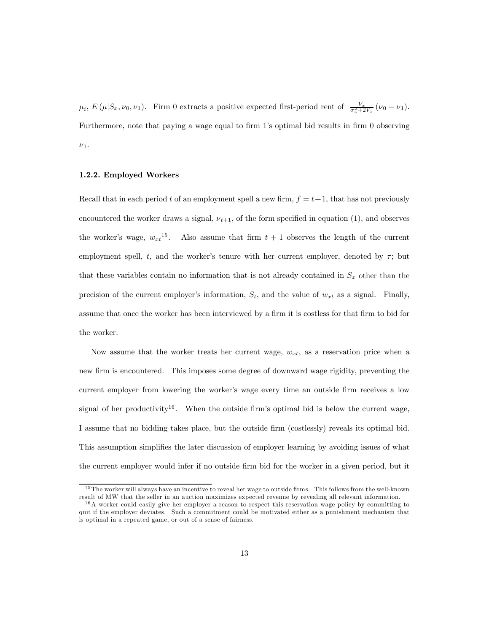$\mu_i$ ,  $E(\mu|S_x, \nu_0, \nu_1)$ . Firm 0 extracts a positive expected first-period rent of  $\frac{V_x}{\sigma_v^2 + 2V_x}(\nu_0 - \nu_1)$ . Furthermore, note that paying a wage equal to firm 1's optimal bid results in firm 0 observing  $\nu_1$ .

### 1.2.2. Employed Workers

Recall that in each period t of an employment spell a new firm,  $f = t + 1$ , that has not previously encountered the worker draws a signal,  $\nu_{t+1}$ , of the form specified in equation (1), and observes the worker's wage,  $w_{xt}^{15}$ . Also assume that firm  $t + 1$  observes the length of the current employment spell, t, and the worker's tenure with her current employer, denoted by  $\tau$ ; but that these variables contain no information that is not already contained in  $S_x$  other than the precision of the current employer's information,  $S_t$ , and the value of  $w_{xt}$  as a signal. Finally, assume that once the worker has been interviewed by a firm it is costless for that firm to bid for the worker.

Now assume that the worker treats her current wage,  $w_{xt}$ , as a reservation price when a new firm is encountered. This imposes some degree of downward wage rigidity, preventing the current employer from lowering the worker's wage every time an outside firm receives a low signal of her productivity<sup>16</sup>. When the outside firm's optimal bid is below the current wage, I assume that no bidding takes place, but the outside firm (costlessly) reveals its optimal bid. This assumption simplifies the later discussion of employer learning by avoiding issues of what the current employer would infer if no outside firm bid for the worker in a given period, but it

<sup>&</sup>lt;sup>15</sup>The worker will always have an incentive to reveal her wage to outside firms. This follows from the well-known result of MW that the seller in an auction maximizes expected revenue by revealing all relevant information.

<sup>1 6</sup>A worker could easily give her employer a reason to respect this reservation wage policy by committing to quit if the employer deviates. Such a commitment could be motivated either as a punishment mechanism that is optimal in a repeated game, or out of a sense of fairness.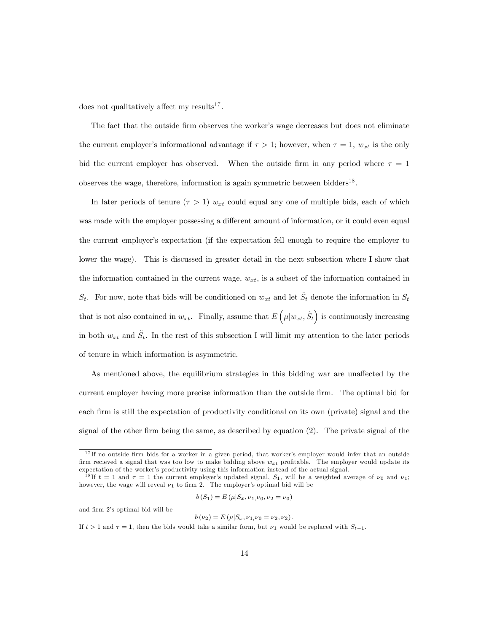does not qualitatively affect my results<sup>17</sup>.

The fact that the outside firm observes the worker's wage decreases but does not eliminate the current employer's informational advantage if  $\tau > 1$ ; however, when  $\tau = 1$ ,  $w_{xt}$  is the only bid the current employer has observed. When the outside firm in any period where  $\tau = 1$ observes the wage, therefore, information is again symmetric between bidders<sup>18</sup>.

In later periods of tenure  $(\tau > 1)$   $w_{xt}$  could equal any one of multiple bids, each of which was made with the employer possessing a different amount of information, or it could even equal the current employer's expectation (if the expectation fell enough to require the employer to lower the wage). This is discussed in greater detail in the next subsection where I show that the information contained in the current wage,  $w_{xt}$ , is a subset of the information contained in  $S_t$ . For now, note that bids will be conditioned on  $w_{xt}$  and let  $S_t$  denote the information in  $S_t$ that is not also contained in  $w_{xt}$ . Finally, assume that  $E\left(\mu|w_{xt}, \tilde{S}_t\right)$  is continuously increasing in both  $w_{xt}$  and  $S_t$ . In the rest of this subsection I will limit my attention to the later periods of tenure in which information is asymmetric.

As mentioned above, the equilibrium strategies in this bidding war are unaffected by the current employer having more precise information than the outside firm. The optimal bid for each firm is still the expectation of productivity conditional on its own (private) signal and the signal of the other firm being the same, as described by equation (2). The private signal of the

$$
b(S_1) = E(\mu|S_x, \nu_1, \nu_0, \nu_2 = \nu_0)
$$

and firm 2's optimal bid will be

$$
b(\nu_2) = E(\mu|S_x, \nu_1, \nu_0 = \nu_2, \nu_2).
$$

If  $t > 1$  and  $\tau = 1$ , then the bids would take a similar form, but  $\nu_1$  would be replaced with  $S_{t-1}$ .

<sup>&</sup>lt;sup>17</sup>If no outside firm bids for a worker in a given period, that worker's employer would infer that an outside firm recieved a signal that was too low to make bidding above  $w_{xt}$  profitable. The employer would update its expectation of the worker's productivity using this information instead of the actual signal.

<sup>&</sup>lt;sup>18</sup>If  $t = 1$  and  $\tau = 1$  the current employer's updated signal,  $S_1$ , will be a weighted average of  $\nu_0$  and  $\nu_1$ ; however, the wage will reveal  $\nu_1$  to firm 2. The employer's optimal bid will be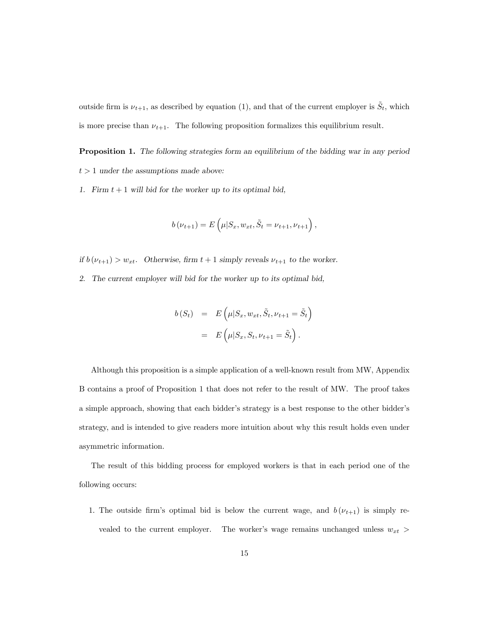outside firm is  $\nu_{t+1}$ , as described by equation (1), and that of the current employer is  $\tilde{S}_t$ , which is more precise than  $\nu_{t+1}$ . The following proposition formalizes this equilibrium result.

Proposition 1. The following strategies form an equilibrium of the bidding war in any period  $t > 1$  under the assumptions made above:

1. Firm  $t + 1$  will bid for the worker up to its optimal bid,

$$
b(\nu_{t+1}) = E\left(\mu|S_x, w_{xt}, \tilde{S}_t = \nu_{t+1}, \nu_{t+1}\right),
$$

if  $b(\nu_{t+1}) > w_{xt}$ . Otherwise, firm  $t+1$  simply reveals  $\nu_{t+1}$  to the worker.

2. The current employer will bid for the worker up to its optimal bid,

$$
b(S_t) = E\left(\mu|S_x, w_{xt}, \tilde{S}_t, \nu_{t+1} = \tilde{S}_t\right)
$$

$$
= E\left(\mu|S_x, S_t, \nu_{t+1} = \tilde{S}_t\right).
$$

Although this proposition is a simple application of a well-known result from MW, Appendix B contains a proof of Proposition 1 that does not refer to the result of MW. The proof takes a simple approach, showing that each bidder's strategy is a best response to the other bidder's strategy, and is intended to give readers more intuition about why this result holds even under asymmetric information.

The result of this bidding process for employed workers is that in each period one of the following occurs:

1. The outside firm's optimal bid is below the current wage, and  $b(\nu_{t+1})$  is simply revealed to the current employer. The worker's wage remains unchanged unless  $w_{xt}$  >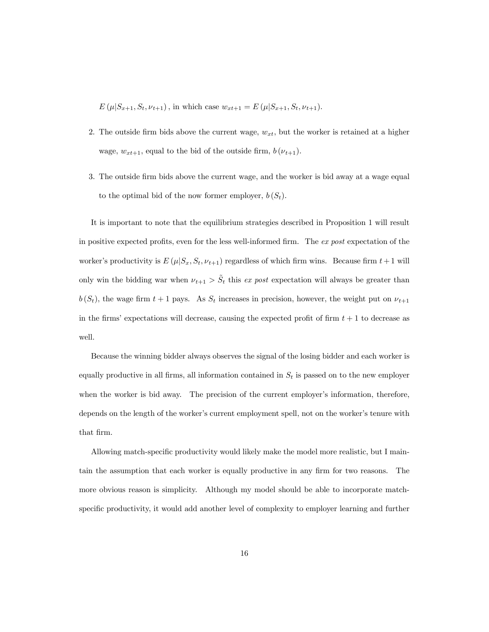$E(\mu|S_{x+1}, S_t, \nu_{t+1}),$  in which case  $w_{xt+1} = E(\mu|S_{x+1}, S_t, \nu_{t+1}).$ 

- 2. The outside firm bids above the current wage,  $w_{xt}$ , but the worker is retained at a higher wage,  $w_{xt+1}$ , equal to the bid of the outside firm,  $b(\nu_{t+1})$ .
- 3. The outside firm bids above the current wage, and the worker is bid away at a wage equal to the optimal bid of the now former employer,  $b(S_t)$ .

It is important to note that the equilibrium strategies described in Proposition 1 will result in positive expected profits, even for the less well-informed firm. The  $ex$  post expectation of the worker's productivity is  $E(\mu|S_x, S_t, \nu_{t+1})$  regardless of which firm wins. Because firm  $t+1$  will only win the bidding war when  $\nu_{t+1} > \tilde{S}_t$  this ex post expectation will always be greater than  $b(S_t)$ , the wage firm  $t + 1$  pays. As  $S_t$  increases in precision, however, the weight put on  $\nu_{t+1}$ in the firms' expectations will decrease, causing the expected profit of firm  $t + 1$  to decrease as well.

Because the winning bidder always observes the signal of the losing bidder and each worker is equally productive in all firms, all information contained in  $S_t$  is passed on to the new employer when the worker is bid away. The precision of the current employer's information, therefore, depends on the length of the worker's current employment spell, not on the worker's tenure with that firm.

Allowing match-specific productivity would likely make the model more realistic, but I maintain the assumption that each worker is equally productive in any firm for two reasons. The more obvious reason is simplicity. Although my model should be able to incorporate matchspecific productivity, it would add another level of complexity to employer learning and further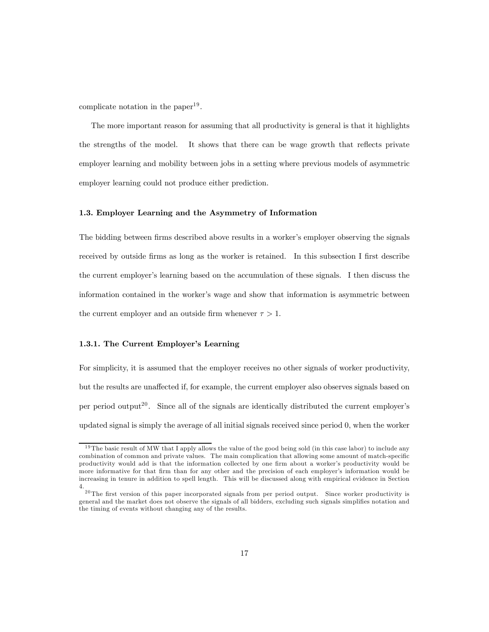complicate notation in the paper<sup>19</sup>.

The more important reason for assuming that all productivity is general is that it highlights the strengths of the model. It shows that there can be wage growth that reflects private employer learning and mobility between jobs in a setting where previous models of asymmetric employer learning could not produce either prediction.

## 1.3. Employer Learning and the Asymmetry of Information

The bidding between firms described above results in a worker's employer observing the signals received by outside firms as long as the worker is retained. In this subsection I first describe the current employer's learning based on the accumulation of these signals. I then discuss the information contained in the worker's wage and show that information is asymmetric between the current employer and an outside firm whenever  $\tau > 1$ .

## 1.3.1. The Current Employer's Learning

For simplicity, it is assumed that the employer receives no other signals of worker productivity, but the results are unaffected if, for example, the current employer also observes signals based on per period output<sup>20</sup>. Since all of the signals are identically distributed the current employer's updated signal is simply the average of all initial signals received since period 0, when the worker

 $19$ The basic result of MW that I apply allows the value of the good being sold (in this case labor) to include any combination of common and private values. The main complication that allowing some amount of match-specific productivity would add is that the information collected by one firm about a worker's productivity would be more informative for that firm than for any other and the precision of each employer's information would be increasing in tenure in addition to spell length. This will be discussed along with empirical evidence in Section 4.

<sup>&</sup>lt;sup>20</sup>The first version of this paper incorporated signals from per period output. Since worker productivity is general and the market does not observe the signals of all bidders, excluding such signals simplifies notation and the timing of events without changing any of the results.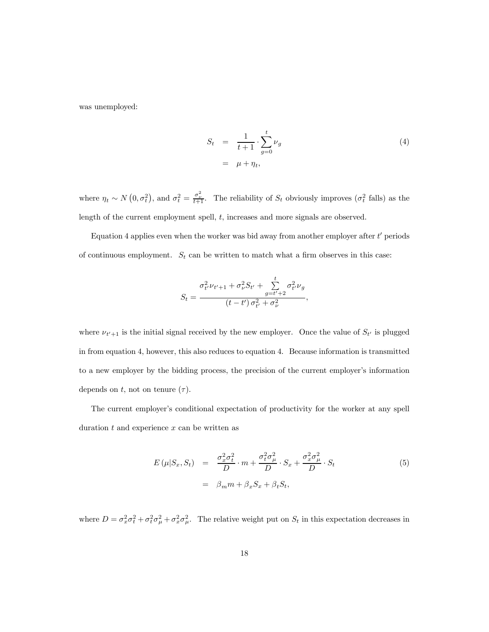was unemployed:

$$
S_t = \frac{1}{t+1} \cdot \sum_{g=0}^t \nu_g
$$
  
=  $\mu + \eta_t$ , (4)

where  $\eta_t \sim N(0, \sigma_t^2)$ , and  $\sigma_t^2 = \frac{\sigma_\nu^2}{t+1}$ . The reliability of  $S_t$  obviously improves  $(\sigma_t^2$  falls) as the length of the current employment spell, t, increases and more signals are observed.

Equation 4 applies even when the worker was bid away from another employer after  $t'$  periods of continuous employment.  $S_t$  can be written to match what a firm observes in this case:

$$
S_t = \frac{\sigma_{t'}^2 \nu_{t'+1} + \sigma_{\nu}^2 S_{t'} + \sum_{g=t'+2}^t \sigma_{t'}^2 \nu_g}{(t-t')\sigma_{t'}^2 + \sigma_{\nu}^2},
$$

where  $\nu_{t'+1}$  is the initial signal received by the new employer. Once the value of  $S_{t'}$  is plugged in from equation 4, however, this also reduces to equation 4. Because information is transmitted to a new employer by the bidding process, the precision of the current employer's information depends on t, not on tenure  $(\tau)$ .

The current employer's conditional expectation of productivity for the worker at any spell duration  $t$  and experience  $x$  can be written as

$$
E(\mu|S_x, S_t) = \frac{\sigma_x^2 \sigma_t^2}{D} \cdot m + \frac{\sigma_t^2 \sigma_\mu^2}{D} \cdot S_x + \frac{\sigma_x^2 \sigma_\mu^2}{D} \cdot S_t
$$
  

$$
= \beta_m m + \beta_x S_x + \beta_t S_t,
$$
 (5)

where  $D = \sigma_x^2 \sigma_t^2 + \sigma_t^2 \sigma_\mu^2 + \sigma_x^2 \sigma_\mu^2$ . The relative weight put on  $S_t$  in this expectation decreases in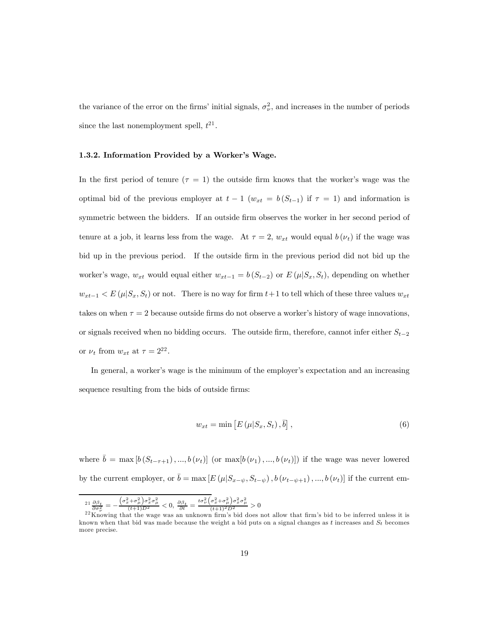the variance of the error on the firms' initial signals,  $\sigma_{\nu}^2$ , and increases in the number of periods since the last nonemployment spell,  $t^{21}$ .

#### 1.3.2. Information Provided by a Worker's Wage.

In the first period of tenure  $(\tau = 1)$  the outside firm knows that the worker's wage was the optimal bid of the previous employer at  $t-1$  ( $w_{xt} = b(S_{t-1})$  if  $\tau = 1$ ) and information is symmetric between the bidders. If an outside firm observes the worker in her second period of tenure at a job, it learns less from the wage. At  $\tau = 2$ ,  $w_{xt}$  would equal  $b(\nu_t)$  if the wage was bid up in the previous period. If the outside firm in the previous period did not bid up the worker's wage,  $w_{xt}$  would equal either  $w_{xt-1} = b(S_{t-2})$  or  $E(\mu|S_x, S_t)$ , depending on whether  $w_{xt-1} < E(\mu|S_x, S_t)$  or not. There is no way for firm  $t+1$  to tell which of these three values  $w_{xt}$ takes on when  $\tau = 2$  because outside firms do not observe a worker's history of wage innovations, or signals received when no bidding occurs. The outside firm, therefore, cannot infer either  $S_{t-2}$ or  $\nu_t$  from  $w_{xt}$  at  $\tau = 2^{22}$ .

In general, a worker's wage is the minimum of the employer's expectation and an increasing sequence resulting from the bids of outside firms:

$$
w_{xt} = \min\left[E\left(\mu|S_x, S_t\right), \overline{b}\right],\tag{6}
$$

where  $\bar{b} = \max [b(S_{t-\tau+1}), ..., b(\nu_t)]$  (or  $\max[b(\nu_1), ..., b(\nu_t)]$ ) if the wage was never lowered by the current employer, or  $\bar{b} = \max [E (\mu | S_{x-\psi}, S_{t-\psi}), b (\nu_{t-\psi+1}), ..., b (\nu_t)]$  if the current em-

 $^{21}\frac{\partial \beta_t}{\partial \sigma_\nu^2} = \frac{\left(\sigma_x^2+\sigma_\mu^2\right)\sigma_x^2\sigma_\mu^2}{(t+1)D^2}<0,\,\frac{\partial\beta_t}{\partial t}=\frac{t\sigma_\nu^2\left(\sigma_x^2+\sigma_\mu^2\right)\sigma_x^2\sigma_\mu^2}{(t+1)^2D^2}>0$ 

 $\frac{200\frac{1}{\nu}}{22\text{ K}$  Knowing that the wage was an unknown firm's bid does not allow that firm's bid to be inferred unless it is known when that bid was made because the weight a bid puts on a signal changes as t increases and  $S_t$  becomes more precise.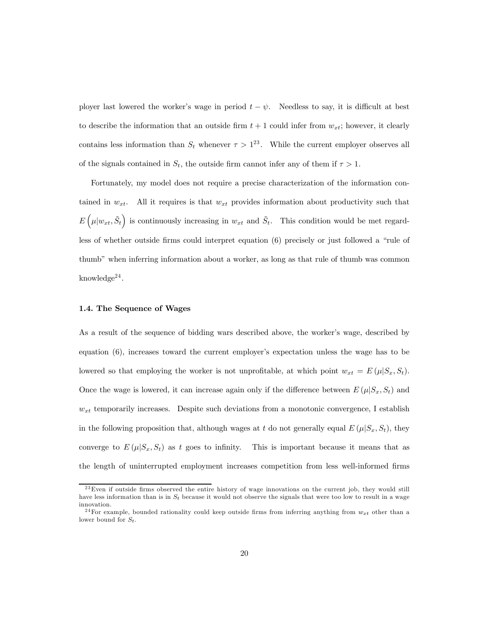ployer last lowered the worker's wage in period  $t - \psi$ . Needless to say, it is difficult at best to describe the information that an outside firm  $t + 1$  could infer from  $w_{xt}$ ; however, it clearly contains less information than  $S_t$  whenever  $\tau > 1^{23}$ . While the current employer observes all of the signals contained in  $S_t$ , the outside firm cannot infer any of them if  $\tau > 1$ .

Fortunately, my model does not require a precise characterization of the information contained in  $w_{xt}$ . All it requires is that  $w_{xt}$  provides information about productivity such that  $E\left(\mu|w_{xt}, \tilde{S}_t\right)$  is continuously increasing in  $w_{xt}$  and  $\tilde{S}_t$ . This condition would be met regardless of whether outside firms could interpret equation (6) precisely or just followed a "rule of thumb" when inferring information about a worker, as long as that rule of thumb was common knowledge<sup>24</sup>.

#### 1.4. The Sequence of Wages

As a result of the sequence of bidding wars described above, the worker's wage, described by equation (6), increases toward the current employer's expectation unless the wage has to be lowered so that employing the worker is not unprofitable, at which point  $w_{xt} = E(\mu | S_x, S_t)$ . Once the wage is lowered, it can increase again only if the difference between  $E(\mu|S_x, S_t)$  and  $w_{xt}$  temporarily increases. Despite such deviations from a monotonic convergence, I establish in the following proposition that, although wages at t do not generally equal  $E(\mu|S_x, S_t)$ , they converge to  $E(\mu|S_x, S_t)$  as t goes to infinity. This is important because it means that as the length of uninterrupted employment increases competition from less well-informed firms

 $^{23}$ Even if outside firms observed the entire history of wage innovations on the current job, they would still have less information than is in  $S_t$  because it would not observe the signals that were too low to result in a wage innovation.

<sup>&</sup>lt;sup>24</sup>For example, bounded rationality could keep outside firms from inferring anything from  $w_{xt}$  other than a lower bound for  $S_t$ .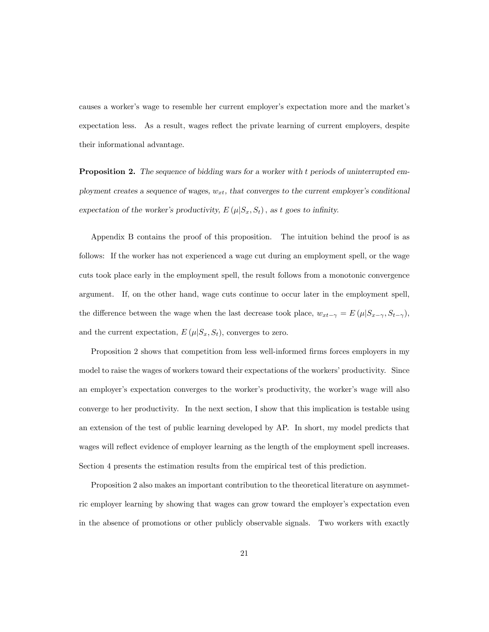causes a worker's wage to resemble her current employer's expectation more and the market's expectation less. As a result, wages reflect the private learning of current employers, despite their informational advantage.

Proposition 2. The sequence of bidding wars for a worker with t periods of uninterrupted employment creates a sequence of wages,  $w_{xt}$ , that converges to the current employer's conditional expectation of the worker's productivity,  $E(\mu|S_x, S_t)$ , as t goes to infinity.

Appendix B contains the proof of this proposition. The intuition behind the proof is as follows: If the worker has not experienced a wage cut during an employment spell, or the wage cuts took place early in the employment spell, the result follows from a monotonic convergence argument. If, on the other hand, wage cuts continue to occur later in the employment spell, the difference between the wage when the last decrease took place,  $w_{xt-\gamma} = E(\mu | S_{x-\gamma}, S_{t-\gamma})$ , and the current expectation,  $E(\mu|S_x, S_t)$ , converges to zero.

Proposition 2 shows that competition from less well-informed firms forces employers in my model to raise the wages of workers toward their expectations of the workers' productivity. Since an employer's expectation converges to the worker's productivity, the worker's wage will also converge to her productivity. In the next section, I show that this implication is testable using an extension of the test of public learning developed by AP. In short, my model predicts that wages will reflect evidence of employer learning as the length of the employment spell increases. Section 4 presents the estimation results from the empirical test of this prediction.

Proposition 2 also makes an important contribution to the theoretical literature on asymmetric employer learning by showing that wages can grow toward the employer's expectation even in the absence of promotions or other publicly observable signals. Two workers with exactly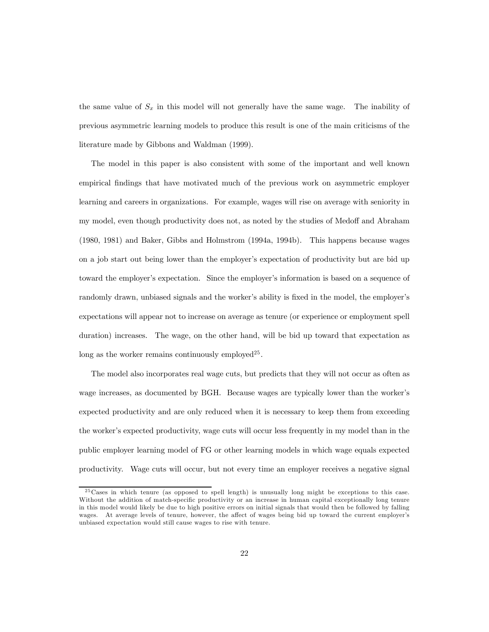the same value of  $S_x$  in this model will not generally have the same wage. The inability of previous asymmetric learning models to produce this result is one of the main criticisms of the literature made by Gibbons and Waldman (1999).

The model in this paper is also consistent with some of the important and well known empirical findings that have motivated much of the previous work on asymmetric employer learning and careers in organizations. For example, wages will rise on average with seniority in my model, even though productivity does not, as noted by the studies of Medoff and Abraham (1980, 1981) and Baker, Gibbs and Holmstrom (1994a, 1994b). This happens because wages on a job start out being lower than the employer's expectation of productivity but are bid up toward the employer's expectation. Since the employer's information is based on a sequence of randomly drawn, unbiased signals and the worker's ability is fixed in the model, the employer's expectations will appear not to increase on average as tenure (or experience or employment spell duration) increases. The wage, on the other hand, will be bid up toward that expectation as long as the worker remains continuously employed<sup>25</sup>.

The model also incorporates real wage cuts, but predicts that they will not occur as often as wage increases, as documented by BGH. Because wages are typically lower than the worker's expected productivity and are only reduced when it is necessary to keep them from exceeding the worker's expected productivity, wage cuts will occur less frequently in my model than in the public employer learning model of FG or other learning models in which wage equals expected productivity. Wage cuts will occur, but not every time an employer receives a negative signal

<sup>&</sup>lt;sup>25</sup> Cases in which tenure (as opposed to spell length) is unusually long might be exceptions to this case. Without the addition of match-specific productivity or an increase in human capital exceptionally long tenure in this model would likely be due to high positive errors on initial signals that would then be followed by falling wages. At average levels of tenure, however, the affect of wages being bid up toward the current employer's unbiased expectation would still cause wages to rise with tenure.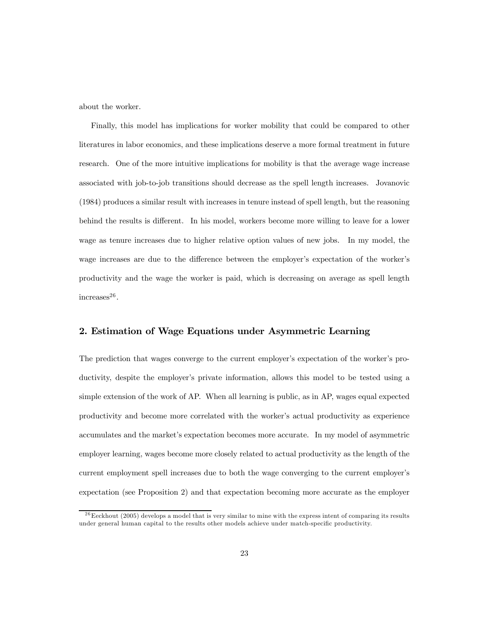about the worker.

Finally, this model has implications for worker mobility that could be compared to other literatures in labor economics, and these implications deserve a more formal treatment in future research. One of the more intuitive implications for mobility is that the average wage increase associated with job-to-job transitions should decrease as the spell length increases. Jovanovic (1984) produces a similar result with increases in tenure instead of spell length, but the reasoning behind the results is different. In his model, workers become more willing to leave for a lower wage as tenure increases due to higher relative option values of new jobs. In my model, the wage increases are due to the difference between the employer's expectation of the worker's productivity and the wage the worker is paid, which is decreasing on average as spell length  $increases<sup>26</sup>$ .

## 2. Estimation of Wage Equations under Asymmetric Learning

The prediction that wages converge to the current employer's expectation of the worker's productivity, despite the employer's private information, allows this model to be tested using a simple extension of the work of AP. When all learning is public, as in AP, wages equal expected productivity and become more correlated with the worker's actual productivity as experience accumulates and the market's expectation becomes more accurate. In my model of asymmetric employer learning, wages become more closely related to actual productivity as the length of the current employment spell increases due to both the wage converging to the current employer's expectation (see Proposition 2) and that expectation becoming more accurate as the employer

 $^{26}$ Eeckhout (2005) develops a model that is very similar to mine with the express intent of comparing its results under general human capital to the results other models achieve under match-specific productivity.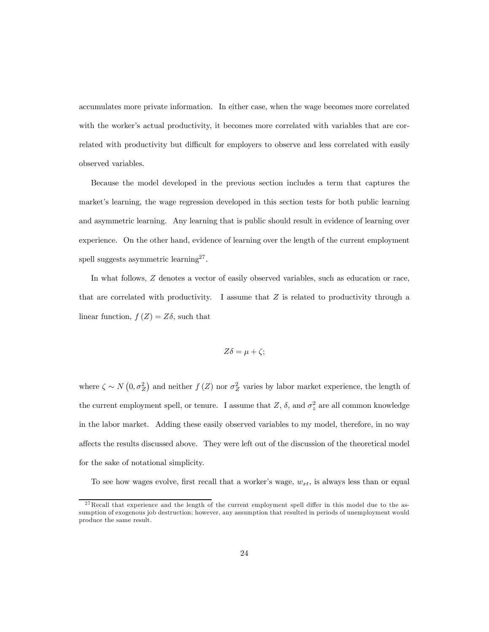accumulates more private information. In either case, when the wage becomes more correlated with the worker's actual productivity, it becomes more correlated with variables that are correlated with productivity but difficult for employers to observe and less correlated with easily observed variables.

Because the model developed in the previous section includes a term that captures the market's learning, the wage regression developed in this section tests for both public learning and asymmetric learning. Any learning that is public should result in evidence of learning over experience. On the other hand, evidence of learning over the length of the current employment spell suggests asymmetric learning<sup>27</sup>.

In what follows, Z denotes a vector of easily observed variables, such as education or race, that are correlated with productivity. I assume that  $Z$  is related to productivity through a linear function,  $f(Z) = Z\delta$ , such that

$$
Z\delta = \mu + \zeta;
$$

where  $\zeta \sim N(0, \sigma_Z^2)$  and neither  $f(Z)$  nor  $\sigma_Z^2$  varies by labor market experience, the length of the current employment spell, or tenure. I assume that  $Z$ ,  $\delta$ , and  $\sigma_z^2$  are all common knowledge in the labor market. Adding these easily observed variables to my model, therefore, in no way affects the results discussed above. They were left out of the discussion of the theoretical model for the sake of notational simplicity.

To see how wages evolve, first recall that a worker's wage,  $w_{xt}$ , is always less than or equal

 $27$ Recall that experience and the length of the current employment spell differ in this model due to the assumption of exogenous job destruction; however, any assumption that resulted in periods of unemployment would produce the same result.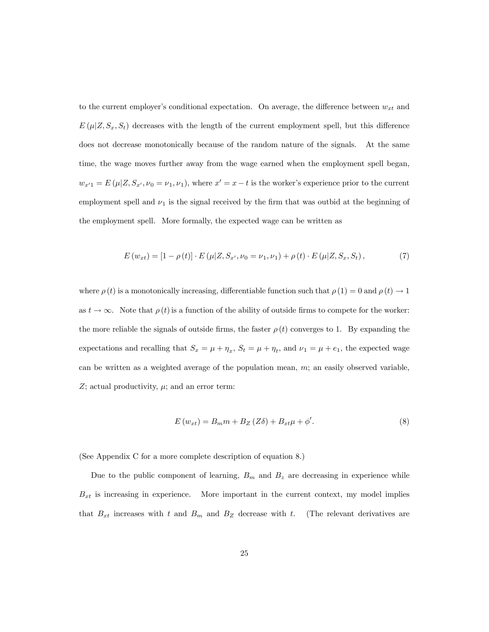to the current employer's conditional expectation. On average, the difference between  $w_{xt}$  and  $E(\mu|Z, S_x, S_t)$  decreases with the length of the current employment spell, but this difference does not decrease monotonically because of the random nature of the signals. At the same time, the wage moves further away from the wage earned when the employment spell began,  $w_{x'1} = E(\mu | Z, S_{x'}, \nu_0 = \nu_1, \nu_1)$ , where  $x' = x - t$  is the worker's experience prior to the current employment spell and  $\nu_1$  is the signal received by the firm that was outbid at the beginning of the employment spell. More formally, the expected wage can be written as

$$
E(w_{xt}) = [1 - \rho(t)] \cdot E(\mu|Z, S_{x'}, \nu_0 = \nu_1, \nu_1) + \rho(t) \cdot E(\mu|Z, S_x, S_t), \tag{7}
$$

where  $\rho(t)$  is a monotonically increasing, differentiable function such that  $\rho(1) = 0$  and  $\rho(t) \to 1$ as  $t \to \infty$ . Note that  $\rho(t)$  is a function of the ability of outside firms to compete for the worker: the more reliable the signals of outside firms, the faster  $\rho(t)$  converges to 1. By expanding the expectations and recalling that  $S_x = \mu + \eta_x$ ,  $S_t = \mu + \eta_t$ , and  $\nu_1 = \mu + e_1$ , the expected wage can be written as a weighted average of the population mean,  $m$ ; an easily observed variable,  $Z$ ; actual productivity,  $\mu$ ; and an error term:

$$
E(w_{xt}) = B_m m + B_Z (Z\delta) + B_{xt}\mu + \phi'. \tag{8}
$$

(See Appendix C for a more complete description of equation 8.)

Due to the public component of learning,  $B_m$  and  $B_z$  are decreasing in experience while  $B_{xt}$  is increasing in experience. More important in the current context, my model implies that  $B_{xt}$  increases with t and  $B_m$  and  $B_z$  decrease with t. (The relevant derivatives are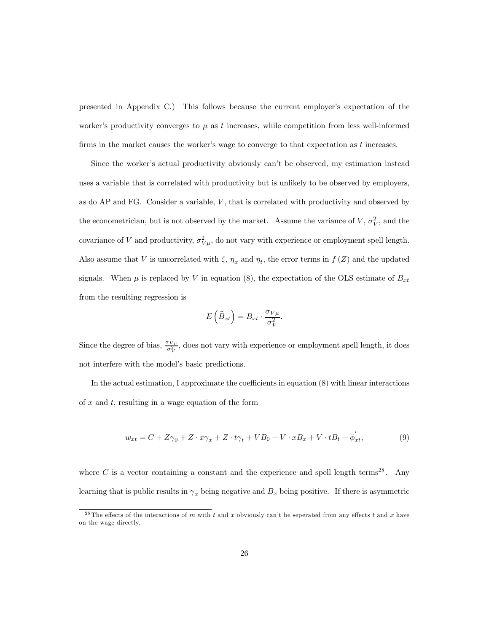presented in Appendix C.) This follows because the current employer's expectation of the worker's productivity converges to  $\mu$  as t increases, while competition from less well-informed firms in the market causes the worker's wage to converge to that expectation as  $t$  increases.

Since the worker's actual productivity obviously can't be observed, my estimation instead uses a variable that is correlated with productivity but is unlikely to be observed by employers, as do  $AP$  and  $FG$ . Consider a variable,  $V$ , that is correlated with productivity and observed by the econometrician, but is not observed by the market. Assume the variance of  $V, \sigma_V^2$ , and the covariance of V and productivity,  $\sigma_{V\mu}^2$ , do not vary with experience or employment spell length. Also assume that V is uncorrelated with  $\zeta$ ,  $\eta_x$  and  $\eta_t$ , the error terms in  $f(Z)$  and the updated signals. When  $\mu$  is replaced by V in equation (8), the expectation of the OLS estimate of  $B_{xt}$ from the resulting regression is

$$
E\left(\widehat{B}_{xt}\right) = B_{xt} \cdot \frac{\sigma_{V\mu}}{\sigma_V^2}.
$$

Since the degree of bias,  $\frac{\sigma_{V\mu}}{\sigma_V^2}$ , does not vary with experience or employment spell length, it does not interfere with the model's basic predictions.

In the actual estimation, I approximate the coefficients in equation (8) with linear interactions of  $x$  and  $t$ , resulting in a wage equation of the form

$$
w_{xt} = C + Z\gamma_0 + Z \cdot x\gamma_x + Z \cdot t\gamma_t + VB_0 + V \cdot xB_x + V \cdot tB_t + \phi_{xt}',\tag{9}
$$

where  $C$  is a vector containing a constant and the experience and spell length terms<sup>28</sup>. Any learning that is public results in  $\gamma_x$  being negative and  $B_x$  being positive. If there is asymmetric

<sup>&</sup>lt;sup>28</sup>The effects of the interactions of m with t and x obviously can't be seperated from any effects t and x have on the wage directly.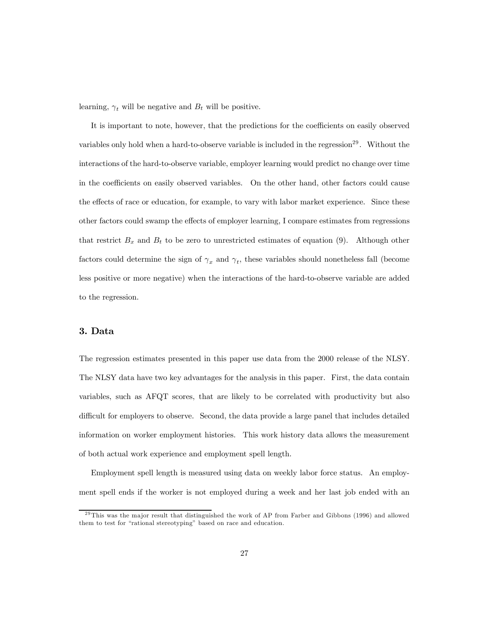learning,  $\gamma_t$  will be negative and  $B_t$  will be positive.

It is important to note, however, that the predictions for the coefficients on easily observed variables only hold when a hard-to-observe variable is included in the regression<sup>29</sup>. Without the interactions of the hard-to-observe variable, employer learning would predict no change over time in the coefficients on easily observed variables. On the other hand, other factors could cause the effects of race or education, for example, to vary with labor market experience. Since these other factors could swamp the effects of employer learning, I compare estimates from regressions that restrict  $B_x$  and  $B_t$  to be zero to unrestricted estimates of equation (9). Although other factors could determine the sign of  $\gamma_x$  and  $\gamma_t$ , these variables should nonetheless fall (become less positive or more negative) when the interactions of the hard-to-observe variable are added to the regression.

## 3. Data

The regression estimates presented in this paper use data from the 2000 release of the NLSY. The NLSY data have two key advantages for the analysis in this paper. First, the data contain variables, such as AFQT scores, that are likely to be correlated with productivity but also difficult for employers to observe. Second, the data provide a large panel that includes detailed information on worker employment histories. This work history data allows the measurement of both actual work experience and employment spell length.

Employment spell length is measured using data on weekly labor force status. An employment spell ends if the worker is not employed during a week and her last job ended with an

 $29$ This was the major result that distinguished the work of AP from Farber and Gibbons (1996) and allowed them to test for "rational stereotyping" based on race and education.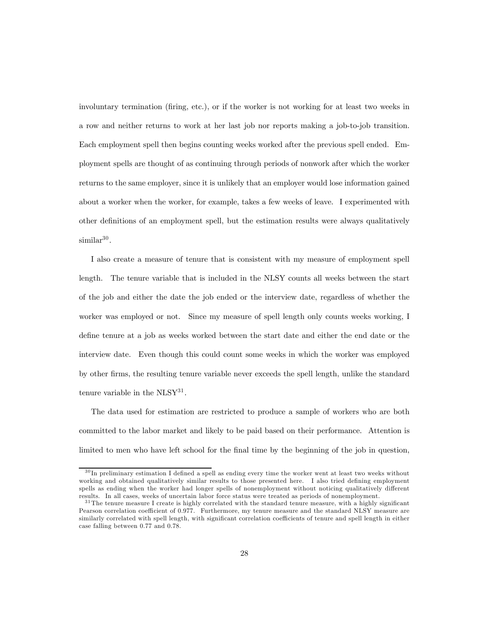involuntary termination (firing, etc.), or if the worker is not working for at least two weeks in a row and neither returns to work at her last job nor reports making a job-to-job transition. Each employment spell then begins counting weeks worked after the previous spell ended. Employment spells are thought of as continuing through periods of nonwork after which the worker returns to the same employer, since it is unlikely that an employer would lose information gained about a worker when the worker, for example, takes a few weeks of leave. I experimented with other definitions of an employment spell, but the estimation results were always qualitatively  $similar<sup>30</sup>$ .

I also create a measure of tenure that is consistent with my measure of employment spell length. The tenure variable that is included in the NLSY counts all weeks between the start of the job and either the date the job ended or the interview date, regardless of whether the worker was employed or not. Since my measure of spell length only counts weeks working, I define tenure at a job as weeks worked between the start date and either the end date or the interview date. Even though this could count some weeks in which the worker was employed by other firms, the resulting tenure variable never exceeds the spell length, unlike the standard tenure variable in the  $NLSY^{31}$ .

The data used for estimation are restricted to produce a sample of workers who are both committed to the labor market and likely to be paid based on their performance. Attention is limited to men who have left school for the final time by the beginning of the job in question,

<sup>&</sup>lt;sup>30</sup>In preliminary estimation I defined a spell as ending every time the worker went at least two weeks without working and obtained qualitatively similar results to those presented here. I also tried defining employment spells as ending when the worker had longer spells of nonemployment without noticing qualitatively different results. In all cases, weeks of uncertain labor force status were treated as periods of nonemployment.

 $31$ The tenure measure I create is highly correlated with the standard tenure measure, with a highly significant Pearson correlation coefficient of 0.977. Furthermore, my tenure measure and the standard NLSY measure are similarly correlated with spell length, with significant correlation coefficients of tenure and spell length in either case falling between 0.77 and 0.78.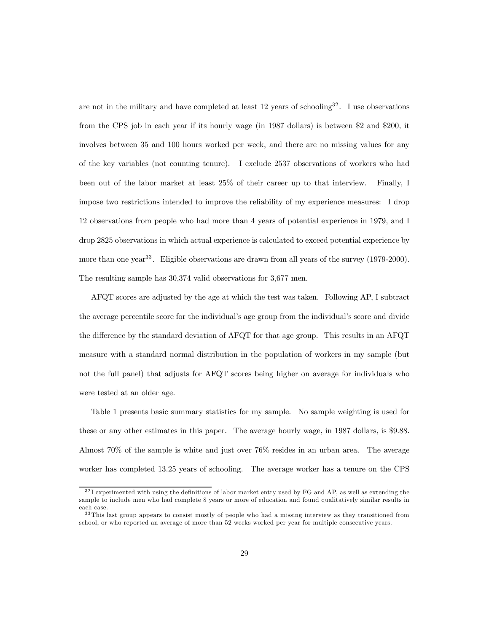are not in the military and have completed at least 12 years of schooling<sup>32</sup>. I use observations from the CPS job in each year if its hourly wage (in 1987 dollars) is between \$2 and \$200, it involves between 35 and 100 hours worked per week, and there are no missing values for any of the key variables (not counting tenure). I exclude 2537 observations of workers who had been out of the labor market at least 25% of their career up to that interview. Finally, I impose two restrictions intended to improve the reliability of my experience measures: I drop 12 observations from people who had more than 4 years of potential experience in 1979, and I drop 2825 observations in which actual experience is calculated to exceed potential experience by more than one year<sup>33</sup>. Eligible observations are drawn from all years of the survey (1979-2000). The resulting sample has 30,374 valid observations for 3,677 men.

AFQT scores are adjusted by the age at which the test was taken. Following AP, I subtract the average percentile score for the individual's age group from the individual's score and divide the difference by the standard deviation of AFQT for that age group. This results in an AFQT measure with a standard normal distribution in the population of workers in my sample (but not the full panel) that adjusts for AFQT scores being higher on average for individuals who were tested at an older age.

Table 1 presents basic summary statistics for my sample. No sample weighting is used for these or any other estimates in this paper. The average hourly wage, in 1987 dollars, is \$9.88. Almost 70% of the sample is white and just over 76% resides in an urban area. The average worker has completed 13.25 years of schooling. The average worker has a tenure on the CPS

 $32$ I experimented with using the definitions of labor market entry used by FG and AP, as well as extending the sample to include men who had complete 8 years or more of education and found qualitatively similar results in each case.

<sup>&</sup>lt;sup>33</sup>This last group appears to consist mostly of people who had a missing interview as they transitioned from school, or who reported an average of more than 52 weeks worked per year for multiple consecutive years.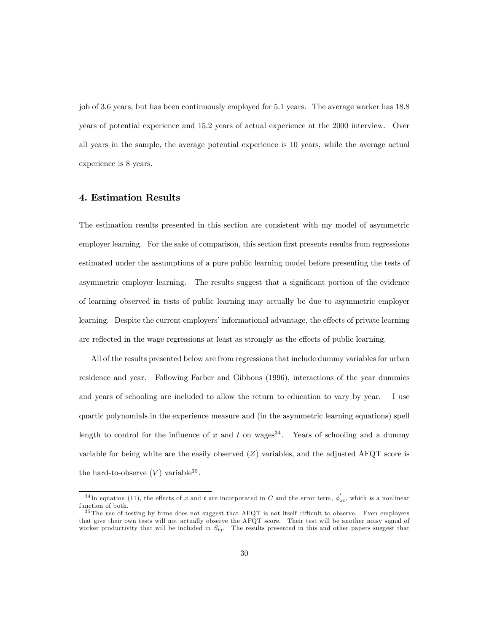job of 3.6 years, but has been continuously employed for 5.1 years. The average worker has 18.8 years of potential experience and 15.2 years of actual experience at the 2000 interview. Over all years in the sample, the average potential experience is 10 years, while the average actual experience is 8 years.

## 4. Estimation Results

The estimation results presented in this section are consistent with my model of asymmetric employer learning. For the sake of comparison, this section first presents results from regressions estimated under the assumptions of a pure public learning model before presenting the tests of asymmetric employer learning. The results suggest that a significant portion of the evidence of learning observed in tests of public learning may actually be due to asymmetric employer learning. Despite the current employers' informational advantage, the effects of private learning are reflected in the wage regressions at least as strongly as the effects of public learning.

All of the results presented below are from regressions that include dummy variables for urban residence and year. Following Farber and Gibbons (1996), interactions of the year dummies and years of schooling are included to allow the return to education to vary by year. I use quartic polynomials in the experience measure and (in the asymmetric learning equations) spell length to control for the influence of x and t on wages<sup>34</sup>. Years of schooling and a dummy variable for being white are the easily observed  $(Z)$  variables, and the adjusted AFQT score is the hard-to-observe  $(V)$  variable<sup>35</sup>.

<sup>&</sup>lt;sup>34</sup>In equation (11), the effects of x and t are incorporated in C and the error term,  $\phi'_{xt}$ , which is a nonlinear function of both.

<sup>&</sup>lt;sup>35</sup>The use of testing by firms does not suggest that AFQT is not itself difficult to observe. Even employers that give their own tests will not actually observe the AFQT score. Their test will be another noisy signal of worker productivity that will be included in  $S_{t_i}$ . The results presented in this and other papers suggest that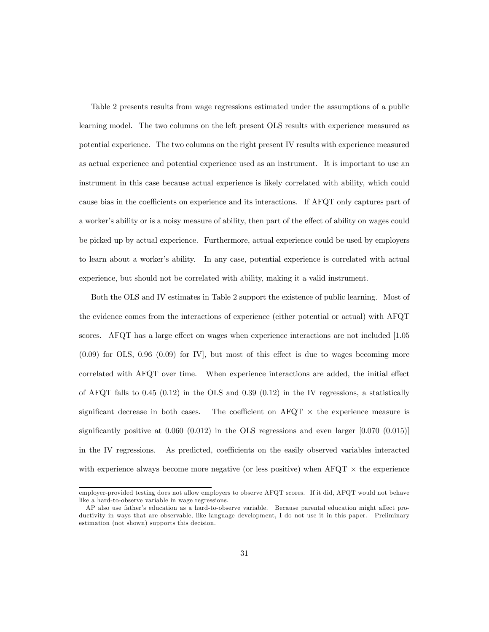Table 2 presents results from wage regressions estimated under the assumptions of a public learning model. The two columns on the left present OLS results with experience measured as potential experience. The two columns on the right present IV results with experience measured as actual experience and potential experience used as an instrument. It is important to use an instrument in this case because actual experience is likely correlated with ability, which could cause bias in the coefficients on experience and its interactions. If AFQT only captures part of a worker's ability or is a noisy measure of ability, then part of the effect of ability on wages could be picked up by actual experience. Furthermore, actual experience could be used by employers to learn about a worker's ability. In any case, potential experience is correlated with actual experience, but should not be correlated with ability, making it a valid instrument.

Both the OLS and IV estimates in Table 2 support the existence of public learning. Most of the evidence comes from the interactions of experience (either potential or actual) with AFQT scores. AFQT has a large effect on wages when experience interactions are not included [1.05 (0.09) for OLS, 0.96 (0.09) for IV], but most of this effect is due to wages becoming more correlated with AFQT over time. When experience interactions are added, the initial effect of AFQT falls to  $0.45$  ( $0.12$ ) in the OLS and  $0.39$  ( $0.12$ ) in the IV regressions, a statistically significant decrease in both cases. The coefficient on AFQT  $\times$  the experience measure is significantly positive at  $0.060 (0.012)$  in the OLS regressions and even larger  $[0.070 (0.015)]$ in the IV regressions. As predicted, coefficients on the easily observed variables interacted with experience always become more negative (or less positive) when  $\text{AFGT} \times \text{the experience}$ 

employer-provided testing does not allow employers to observe AFQT scores. If it did, AFQT would not behave like a hard-to-observe variable in wage regressions.

AP also use father's education as a hard-to-observe variable. Because parental education might affect productivity in ways that are observable, like language development, I do not use it in this paper. Preliminary estimation (not shown) supports this decision.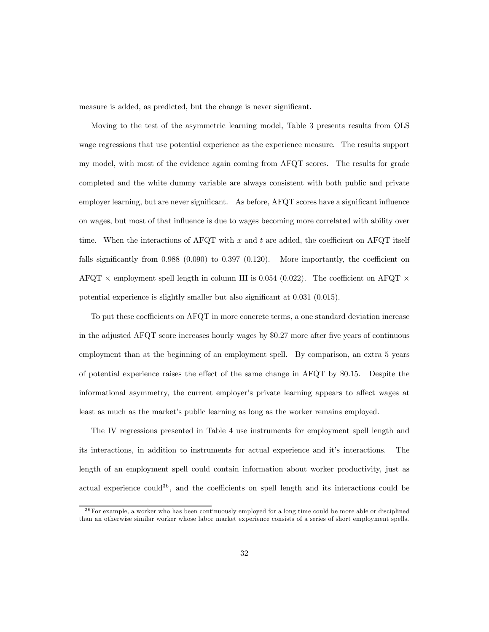measure is added, as predicted, but the change is never significant.

Moving to the test of the asymmetric learning model, Table 3 presents results from OLS wage regressions that use potential experience as the experience measure. The results support my model, with most of the evidence again coming from AFQT scores. The results for grade completed and the white dummy variable are always consistent with both public and private employer learning, but are never significant. As before, AFQT scores have a significant influence on wages, but most of that influence is due to wages becoming more correlated with ability over time. When the interactions of AFQT with x and t are added, the coefficient on AFQT itself falls significantly from 0.988 (0.090) to 0.397 (0.120). More importantly, the coefficient on AFQT  $\times$  employment spell length in column III is 0.054 (0.022). The coefficient on AFQT  $\times$ potential experience is slightly smaller but also significant at 0.031 (0.015).

To put these coefficients on AFQT in more concrete terms, a one standard deviation increase in the adjusted AFQT score increases hourly wages by \$0.27 more after five years of continuous employment than at the beginning of an employment spell. By comparison, an extra 5 years of potential experience raises the effect of the same change in AFQT by \$0.15. Despite the informational asymmetry, the current employer's private learning appears to affect wages at least as much as the market's public learning as long as the worker remains employed.

The IV regressions presented in Table 4 use instruments for employment spell length and its interactions, in addition to instruments for actual experience and it's interactions. The length of an employment spell could contain information about worker productivity, just as actual experience could<sup>36</sup>, and the coefficients on spell length and its interactions could be

<sup>&</sup>lt;sup>36</sup> For example, a worker who has been continuously employed for a long time could be more able or disciplined than an otherwise similar worker whose labor market experience consists of a series of short employment spells.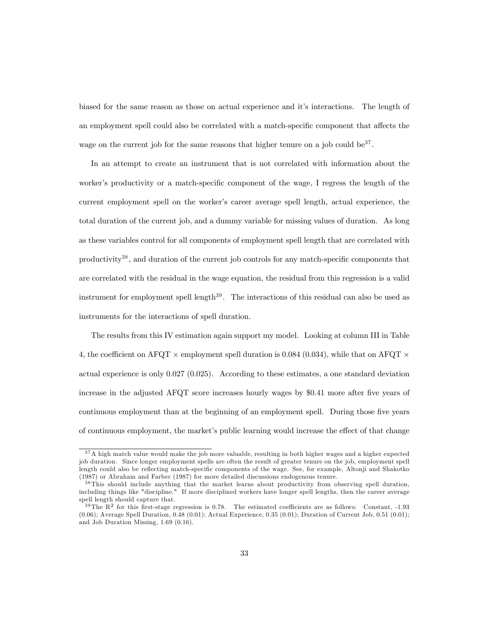biased for the same reason as those on actual experience and it's interactions. The length of an employment spell could also be correlated with a match-specific component that affects the wage on the current job for the same reasons that higher tenure on a job could be $37$ .

In an attempt to create an instrument that is not correlated with information about the worker's productivity or a match-specific component of the wage, I regress the length of the current employment spell on the worker's career average spell length, actual experience, the total duration of the current job, and a dummy variable for missing values of duration. As long as these variables control for all components of employment spell length that are correlated with productivity<sup>38</sup>, and duration of the current job controls for any match-specific components that are correlated with the residual in the wage equation, the residual from this regression is a valid instrument for employment spell length $39$ . The interactions of this residual can also be used as instruments for the interactions of spell duration.

The results from this IV estimation again support my model. Looking at column III in Table 4, the coefficient on AFQT  $\times$  employment spell duration is 0.084 (0.034), while that on AFQT  $\times$ actual experience is only 0.027 (0.025). According to these estimates, a one standard deviation increase in the adjusted AFQT score increases hourly wages by \$0.41 more after five years of continuous employment than at the beginning of an employment spell. During those five years of continuous employment, the market's public learning would increase the effect of that change

<sup>&</sup>lt;sup>37</sup>A high match value would make the job more valuable, resulting in both higher wages and a higher expected job duration. Since longer employment spells are often the result of greater tenure on the job, employment spell length could also be reflecting match-specific components of the wage. See, for example, Altonji and Shakotko (1987) or Abraham and Farber (1987) for more detailed discussions endogenous tenure.

<sup>&</sup>lt;sup>38</sup>This should include anything that the market learns about productivity from observing spell duration, including things like "discipline." If more disciplined workers have longer spell lengths, then the career average spell length should capture that.

 $39$ The R<sup>2</sup> for this first-stage regression is 0.78. The estimated coefficients are as follows: Constant, -1.93 (0.06); Average Spell Duration, 0.48 (0.01); Actual Experience, 0.35 (0.01); Duration of Current Job, 0.51 (0.01); and Job Duration Missing, 1.69 (0.16).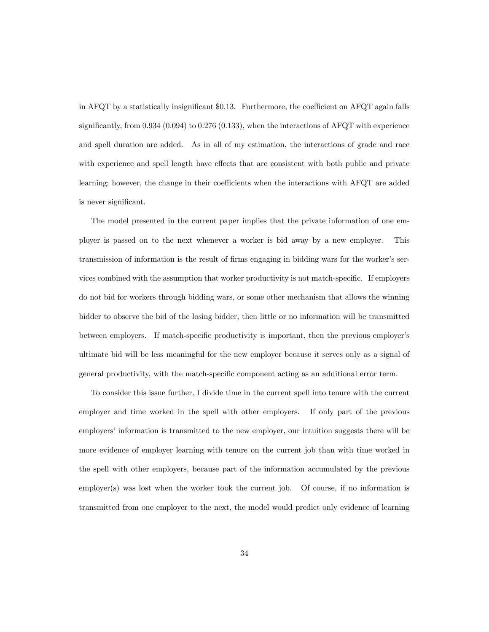in AFQT by a statistically insignificant \$0.13. Furthermore, the coefficient on AFQT again falls significantly, from 0.934 (0.094) to 0.276 (0.133), when the interactions of AFQT with experience and spell duration are added. As in all of my estimation, the interactions of grade and race with experience and spell length have effects that are consistent with both public and private learning; however, the change in their coefficients when the interactions with AFQT are added is never significant.

The model presented in the current paper implies that the private information of one employer is passed on to the next whenever a worker is bid away by a new employer. This transmission of information is the result of firms engaging in bidding wars for the worker's services combined with the assumption that worker productivity is not match-specific. If employers do not bid for workers through bidding wars, or some other mechanism that allows the winning bidder to observe the bid of the losing bidder, then little or no information will be transmitted between employers. If match-specific productivity is important, then the previous employer's ultimate bid will be less meaningful for the new employer because it serves only as a signal of general productivity, with the match-specific component acting as an additional error term.

To consider this issue further, I divide time in the current spell into tenure with the current employer and time worked in the spell with other employers. If only part of the previous employers' information is transmitted to the new employer, our intuition suggests there will be more evidence of employer learning with tenure on the current job than with time worked in the spell with other employers, because part of the information accumulated by the previous employer(s) was lost when the worker took the current job. Of course, if no information is transmitted from one employer to the next, the model would predict only evidence of learning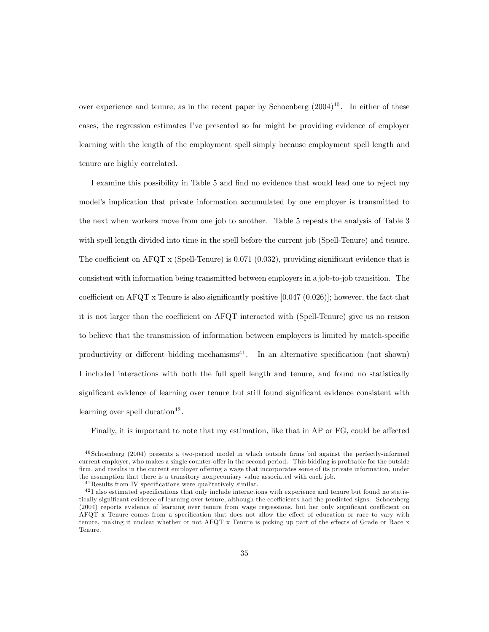over experience and tenure, as in the recent paper by Schoenberg  $(2004)^{40}$ . In either of these cases, the regression estimates I've presented so far might be providing evidence of employer learning with the length of the employment spell simply because employment spell length and tenure are highly correlated.

I examine this possibility in Table 5 and find no evidence that would lead one to reject my model's implication that private information accumulated by one employer is transmitted to the next when workers move from one job to another. Table 5 repeats the analysis of Table 3 with spell length divided into time in the spell before the current job (Spell-Tenure) and tenure. The coefficient on AFQT x (Spell-Tenure) is 0.071 (0.032), providing significant evidence that is consistent with information being transmitted between employers in a job-to-job transition. The coefficient on AFQT x Tenure is also significantly positive  $[0.047 (0.026)]$ ; however, the fact that it is not larger than the coefficient on AFQT interacted with (Spell-Tenure) give us no reason to believe that the transmission of information between employers is limited by match-specific productivity or different bidding mechanisms<sup>41</sup>. In an alternative specification (not shown) I included interactions with both the full spell length and tenure, and found no statistically significant evidence of learning over tenure but still found significant evidence consistent with learning over spell duration<sup>42</sup>.

Finally, it is important to note that my estimation, like that in AP or FG, could be affected

 $^{40}$ Schoenberg (2004) presents a two-period model in which outside firms bid against the perfectly-informed current employer, who makes a single counter-offer in the second period. This bidding is profitable for the outside firm, and results in the current employer offering a wage that incorporates some of its private information, under the assumption that there is a transitory nonpecuniary value associated with each job.

<sup>&</sup>lt;sup>41</sup> Results from IV specifications were qualitatively similar.

<sup>&</sup>lt;sup>42</sup>I also estimated specifications that only include interactions with experience and tenure but found no statistically significant evidence of learning over tenure, although the coefficients had the predicted signs. Schoenberg (2004) reports evidence of learning over tenure from wage regressions, but her only significant coefficient on AFQT x Tenure comes from a specification that does not allow the effect of education or race to vary with tenure, making it unclear whether or not AFQT x Tenure is picking up part of the effects of Grade or Race x Tenure.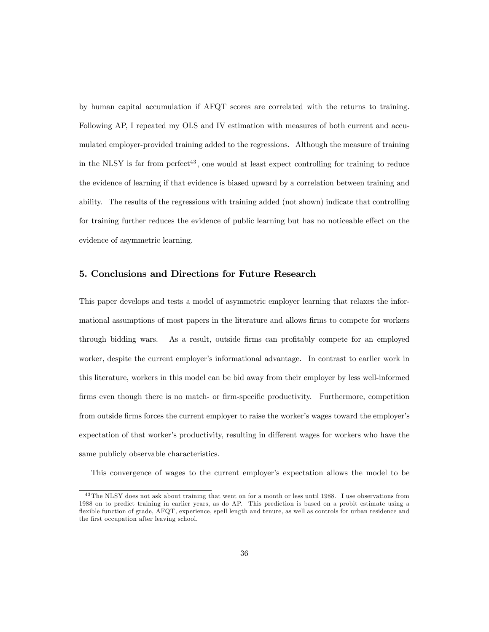by human capital accumulation if AFQT scores are correlated with the returns to training. Following AP, I repeated my OLS and IV estimation with measures of both current and accumulated employer-provided training added to the regressions. Although the measure of training in the NLSY is far from  $perfect<sup>43</sup>$ , one would at least expect controlling for training to reduce the evidence of learning if that evidence is biased upward by a correlation between training and ability. The results of the regressions with training added (not shown) indicate that controlling for training further reduces the evidence of public learning but has no noticeable effect on the evidence of asymmetric learning.

## 5. Conclusions and Directions for Future Research

This paper develops and tests a model of asymmetric employer learning that relaxes the informational assumptions of most papers in the literature and allows firms to compete for workers through bidding wars. As a result, outside firms can profitably compete for an employed worker, despite the current employer's informational advantage. In contrast to earlier work in this literature, workers in this model can be bid away from their employer by less well-informed firms even though there is no match- or firm-specific productivity. Furthermore, competition from outside firms forces the current employer to raise the worker's wages toward the employer's expectation of that worker's productivity, resulting in different wages for workers who have the same publicly observable characteristics.

This convergence of wages to the current employer's expectation allows the model to be

<sup>&</sup>lt;sup>43</sup>The NLSY does not ask about training that went on for a month or less until 1988. I use observations from 1988 on to predict training in earlier years, as do AP. This prediction is based on a probit estimate using a flexible function of grade, AFQT, experience, spell length and tenure, as well as controls for urban residence and the first occupation after leaving school.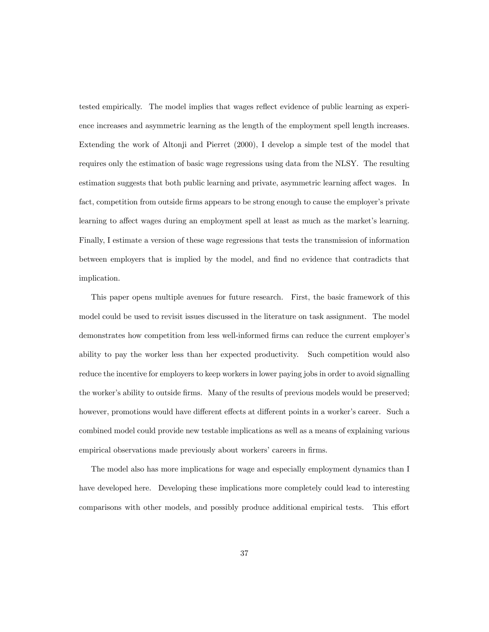tested empirically. The model implies that wages reflect evidence of public learning as experience increases and asymmetric learning as the length of the employment spell length increases. Extending the work of Altonji and Pierret (2000), I develop a simple test of the model that requires only the estimation of basic wage regressions using data from the NLSY. The resulting estimation suggests that both public learning and private, asymmetric learning affect wages. In fact, competition from outside firms appears to be strong enough to cause the employer's private learning to affect wages during an employment spell at least as much as the market's learning. Finally, I estimate a version of these wage regressions that tests the transmission of information between employers that is implied by the model, and find no evidence that contradicts that implication.

This paper opens multiple avenues for future research. First, the basic framework of this model could be used to revisit issues discussed in the literature on task assignment. The model demonstrates how competition from less well-informed firms can reduce the current employer's ability to pay the worker less than her expected productivity. Such competition would also reduce the incentive for employers to keep workers in lower paying jobs in order to avoid signalling the worker's ability to outside firms. Many of the results of previous models would be preserved; however, promotions would have different effects at different points in a worker's career. Such a combined model could provide new testable implications as well as a means of explaining various empirical observations made previously about workers' careers in firms.

The model also has more implications for wage and especially employment dynamics than I have developed here. Developing these implications more completely could lead to interesting comparisons with other models, and possibly produce additional empirical tests. This effort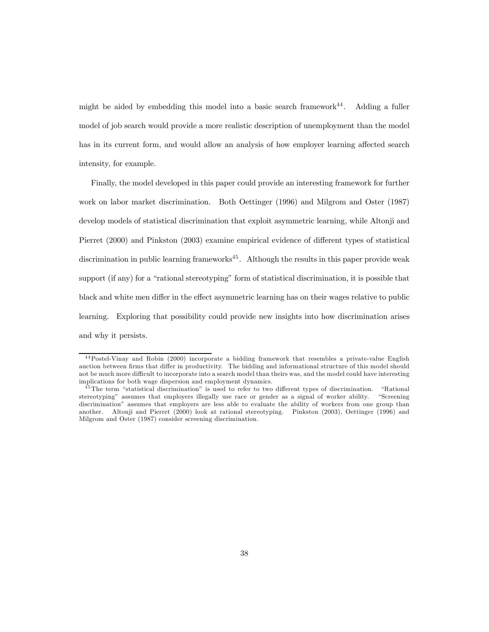might be aided by embedding this model into a basic search framework<sup>44</sup>. Adding a fuller model of job search would provide a more realistic description of unemployment than the model has in its current form, and would allow an analysis of how employer learning affected search intensity, for example.

Finally, the model developed in this paper could provide an interesting framework for further work on labor market discrimination. Both Oettinger (1996) and Milgrom and Oster (1987) develop models of statistical discrimination that exploit asymmetric learning, while Altonji and Pierret (2000) and Pinkston (2003) examine empirical evidence of different types of statistical discrimination in public learning frameworks $45$ . Although the results in this paper provide weak support (if any) for a "rational stereotyping" form of statistical discrimination, it is possible that black and white men differ in the effect asymmetric learning has on their wages relative to public learning. Exploring that possibility could provide new insights into how discrimination arises and why it persists.

<sup>4 4</sup>Postel-Vinay and Robin (2000) incorporate a bidding framework that resembles a private-value English auction between firms that differ in productivity. The bidding and informational structure of this model should not be much more difficult to incorporate into a search model than theirs was, and the model could have interesting implications for both wage dispersion and employment dynamics.

<sup>&</sup>lt;sup>45</sup>The term "statistical discrimination" is used to refer to two different types of discrimination. "Rational stereotyping" assumes that employers illegally use race or gender as a signal of worker ability. "Screening discrimination" assumes that employers are less able to evaluate the ability of workers from one group than another. Altonji and Pierret (2000) look at rational stereotyping. Pinkston (2003), Oettinger (1996) and Milgrom and Oster (1987) consider screening discrimination.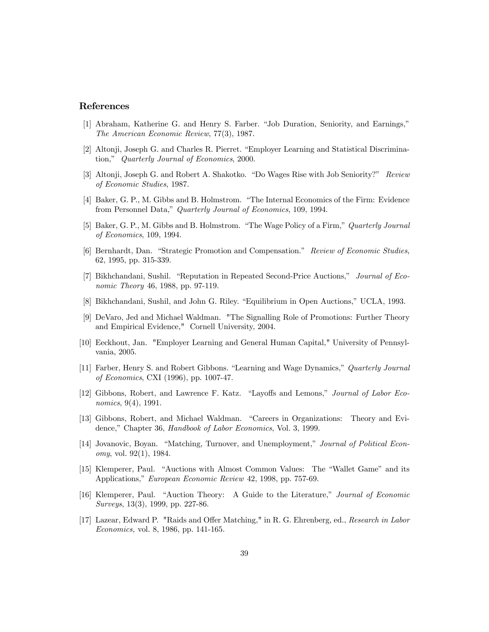## References

- [1] Abraham, Katherine G. and Henry S. Farber. "Job Duration, Seniority, and Earnings," The American Economic Review, 77(3), 1987.
- [2] Altonji, Joseph G. and Charles R. Pierret. "Employer Learning and Statistical Discrimination," Quarterly Journal of Economics, 2000.
- [3] Altonji, Joseph G. and Robert A. Shakotko. "Do Wages Rise with Job Seniority?" Review of Economic Studies, 1987.
- [4] Baker, G. P., M. Gibbs and B. Holmstrom. "The Internal Economics of the Firm: Evidence from Personnel Data," Quarterly Journal of Economics, 109, 1994.
- [5] Baker, G. P., M. Gibbs and B. Holmstrom. "The Wage Policy of a Firm," Quarterly Journal of Economics, 109, 1994.
- [6] Bernhardt, Dan. "Strategic Promotion and Compensation." Review of Economic Studies, 62, 1995, pp. 315-339.
- [7] Bikhchandani, Sushil. "Reputation in Repeated Second-Price Auctions," Journal of Economic Theory 46, 1988, pp. 97-119.
- [8] Bikhchandani, Sushil, and John G. Riley. "Equilibrium in Open Auctions," UCLA, 1993.
- [9] DeVaro, Jed and Michael Waldman. "The Signalling Role of Promotions: Further Theory and Empirical Evidence," Cornell University, 2004.
- [10] Eeckhout, Jan. "Employer Learning and General Human Capital," University of Pennsylvania, 2005.
- [11] Farber, Henry S. and Robert Gibbons. "Learning and Wage Dynamics," Quarterly Journal of Economics, CXI (1996), pp. 1007-47.
- [12] Gibbons, Robert, and Lawrence F. Katz. "Layoffs and Lemons," Journal of Labor Economics, 9(4), 1991.
- [13] Gibbons, Robert, and Michael Waldman. "Careers in Organizations: Theory and Evidence," Chapter 36, Handbook of Labor Economics, Vol. 3, 1999.
- [14] Jovanovic, Boyan. "Matching, Turnover, and Unemployment," Journal of Political Economy, vol. 92(1), 1984.
- [15] Klemperer, Paul. "Auctions with Almost Common Values: The "Wallet Game" and its Applications," European Economic Review 42, 1998, pp. 757-69.
- [16] Klemperer, Paul. "Auction Theory: A Guide to the Literature," Journal of Economic Surveys, 13(3), 1999, pp. 227-86.
- [17] Lazear, Edward P. "Raids and Offer Matching," in R. G. Ehrenberg, ed., Research in Labor Economics, vol. 8, 1986, pp. 141-165.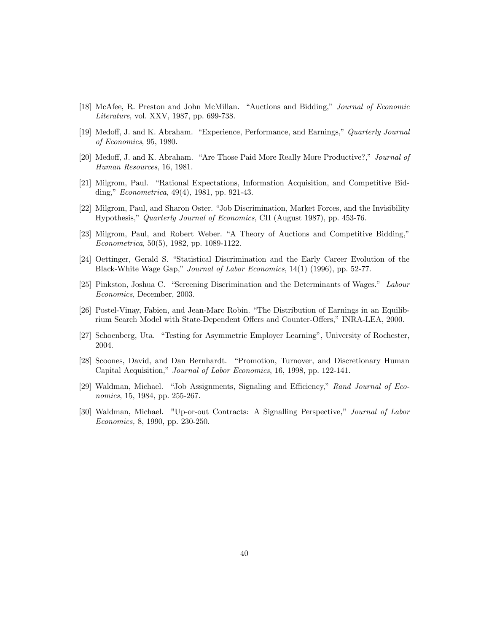- [18] McAfee, R. Preston and John McMillan. "Auctions and Bidding," Journal of Economic Literature, vol. XXV, 1987, pp. 699-738.
- [19] Medoff, J. and K. Abraham. "Experience, Performance, and Earnings," Quarterly Journal of Economics, 95, 1980.
- [20] Medoff, J. and K. Abraham. "Are Those Paid More Really More Productive?," Journal of Human Resources, 16, 1981.
- [21] Milgrom, Paul. "Rational Expectations, Information Acquisition, and Competitive Bidding," Econometrica, 49(4), 1981, pp. 921-43.
- [22] Milgrom, Paul, and Sharon Oster. "Job Discrimination, Market Forces, and the Invisibility Hypothesis," Quarterly Journal of Economics, CII (August 1987), pp. 453-76.
- [23] Milgrom, Paul, and Robert Weber. "A Theory of Auctions and Competitive Bidding," Econometrica, 50(5), 1982, pp. 1089-1122.
- [24] Oettinger, Gerald S. "Statistical Discrimination and the Early Career Evolution of the Black-White Wage Gap," Journal of Labor Economics, 14(1) (1996), pp. 52-77.
- [25] Pinkston, Joshua C. "Screening Discrimination and the Determinants of Wages." Labour Economics, December, 2003.
- [26] Postel-Vinay, Fabien, and Jean-Marc Robin. "The Distribution of Earnings in an Equilibrium Search Model with State-Dependent Offers and Counter-Offers," INRA-LEA, 2000.
- [27] Schoenberg, Uta. "Testing for Asymmetric Employer Learning", University of Rochester, 2004.
- [28] Scoones, David, and Dan Bernhardt. "Promotion, Turnover, and Discretionary Human Capital Acquisition," Journal of Labor Economics, 16, 1998, pp. 122-141.
- [29] Waldman, Michael. "Job Assignments, Signaling and Efficiency," Rand Journal of Economics, 15, 1984, pp. 255-267.
- [30] Waldman, Michael. "Up-or-out Contracts: A Signalling Perspective," Journal of Labor Economics, 8, 1990, pp. 230-250.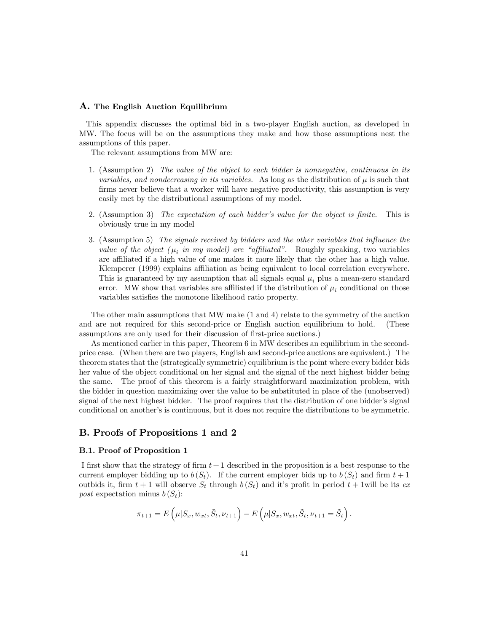#### A. The English Auction Equilibrium

This appendix discusses the optimal bid in a two-player English auction, as developed in MW. The focus will be on the assumptions they make and how those assumptions nest the assumptions of this paper.

The relevant assumptions from MW are:

- 1. (Assumption 2) The value of the object to each bidder is nonnegative, continuous in its variables, and nondecreasing in its variables. As long as the distribution of  $\mu$  is such that firms never believe that a worker will have negative productivity, this assumption is very easily met by the distributional assumptions of my model.
- 2. (Assumption 3) The expectation of each bidder's value for the object is finite. This is obviously true in my model
- 3. (Assumption 5) The signals received by bidders and the other variables that influence the value of the object  $(\mu_i \text{ in } my \text{ model})$  are "affiliated". Roughly speaking, two variables are affiliated if a high value of one makes it more likely that the other has a high value. Klemperer (1999) explains affiliation as being equivalent to local correlation everywhere. This is guaranteed by my assumption that all signals equal  $\mu_i$  plus a mean-zero standard error. MW show that variables are affiliated if the distribution of  $\mu_i$  conditional on those variables satisfies the monotone likelihood ratio property.

The other main assumptions that MW make (1 and 4) relate to the symmetry of the auction and are not required for this second-price or English auction equilibrium to hold. (These assumptions are only used for their discussion of first-price auctions.)

As mentioned earlier in this paper, Theorem 6 in MW describes an equilibrium in the secondprice case. (When there are two players, English and second-price auctions are equivalent.) The theorem states that the (strategically symmetric) equilibrium is the point where every bidder bids her value of the object conditional on her signal and the signal of the next highest bidder being the same. The proof of this theorem is a fairly straightforward maximization problem, with the bidder in question maximizing over the value to be substituted in place of the (unobserved) signal of the next highest bidder. The proof requires that the distribution of one bidder's signal conditional on another's is continuous, but it does not require the distributions to be symmetric.

## B. Proofs of Propositions 1 and 2

#### B.1. Proof of Proposition 1

I first show that the strategy of firm  $t + 1$  described in the proposition is a best response to the current employer bidding up to  $b(S_t)$ . If the current employer bids up to  $b(S_t)$  and firm  $t+1$ outbids it, firm  $t + 1$  will observe  $S_t$  through  $b(S_t)$  and it's profit in period  $t + 1$ will be its expost expectation minus  $b(S_t)$ :

$$
\pi_{t+1} = E\left(\mu|S_x, w_{xt}, \tilde{S}_t, \nu_{t+1}\right) - E\left(\mu|S_x, w_{xt}, \tilde{S}_t, \nu_{t+1} = \tilde{S}_t\right).
$$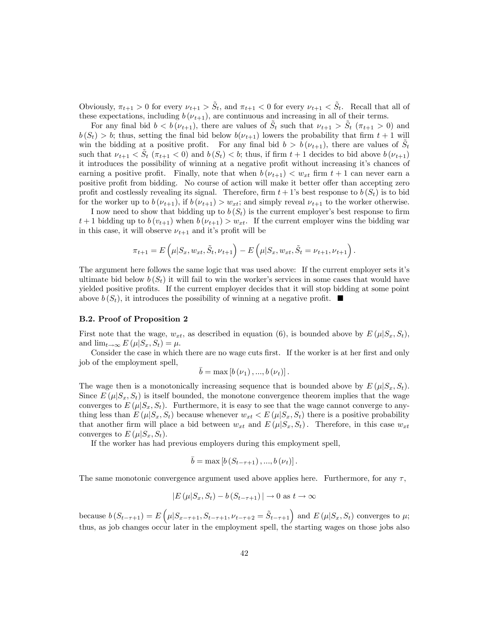Obviously,  $\pi_{t+1} > 0$  for every  $\nu_{t+1} > \tilde{S}_t$ , and  $\pi_{t+1} < 0$  for every  $\nu_{t+1} < \tilde{S}_t$ . Recall that all of these expectations, including  $b(\nu_{t+1})$ , are continuous and increasing in all of their terms.

For any final bid  $b < b(\nu_{t+1})$ , there are values of  $\tilde{S}_t$  such that  $\nu_{t+1} > \tilde{S}_t$  ( $\pi_{t+1} > 0$ ) and  $b(S_t) > b$ ; thus, setting the final bid below  $b(\nu_{t+1})$  lowers the probability that firm  $t + 1$  will win the bidding at a positive profit. For any final bid  $b > b(\nu_{t+1})$ , there are values of  $S_t$ such that  $\nu_{t+1} < S_t$  ( $\pi_{t+1} < 0$ ) and  $b(S_t) < b$ ; thus, if firm  $t+1$  decides to bid above  $b(\nu_{t+1})$ it introduces the possibility of winning at a negative profit without increasing it's chances of earning a positive profit. Finally, note that when  $b(\nu_{t+1}) < w_{xt}$  firm  $t+1$  can never earn a positive profit from bidding. No course of action will make it better offer than accepting zero profit and costlessly revealing its signal. Therefore, firm  $t + 1$ 's best response to  $b(S_t)$  is to bid for the worker up to  $b(\nu_{t+1}),$  if  $b(\nu_{t+1}) > w_{xt}$ ; and simply reveal  $\nu_{t+1}$  to the worker otherwise.

I now need to show that bidding up to  $b(S_t)$  is the current employer's best response to firm  $t+1$  bidding up to  $b(v_{t+1})$  when  $b(v_{t+1}) > w_{xt}$ . If the current employer wins the bidding war in this case, it will observe  $\nu_{t+1}$  and it's profit will be

$$
\pi_{t+1} = E\left(\mu|S_x, w_{xt}, \tilde{S}_t, \nu_{t+1}\right) - E\left(\mu|S_x, w_{xt}, \tilde{S}_t = \nu_{t+1}, \nu_{t+1}\right).
$$

The argument here follows the same logic that was used above: If the current employer sets it's ultimate bid below  $b(S_t)$  it will fail to win the worker's services in some cases that would have yielded positive profits. If the current employer decides that it will stop bidding at some point above  $b(S_t)$ , it introduces the possibility of winning at a negative profit.  $\blacksquare$ 

### B.2. Proof of Proposition 2

First note that the wage,  $w_{xt}$ , as described in equation (6), is bounded above by  $E(\mu|S_x, S_t)$ , and  $\lim_{t\to\infty} E(\mu|S_x, S_t) = \mu$ .

Consider the case in which there are no wage cuts first. If the worker is at her first and only job of the employment spell,

$$
b = \max [b (\nu_1), ..., b (\nu_t)].
$$

The wage then is a monotonically increasing sequence that is bounded above by  $E(\mu|S_x, S_t)$ . Since  $E(\mu|S_x, S_t)$  is itself bounded, the monotone convergence theorem implies that the wage converges to  $E(\mu|S_x, S_t)$ . Furthermore, it is easy to see that the wage cannot converge to anything less than  $E(\mu|S_x, S_t)$  because whenever  $w_{xt} < E(\mu|S_x, S_t)$  there is a positive probability that another firm will place a bid between  $w_{xt}$  and  $E(\mu|S_x, S_t)$ . Therefore, in this case  $w_{xt}$ converges to  $E(\mu|S_x, S_t)$ .

If the worker has had previous employers during this employment spell,

$$
\bar{b} = \max [b(S_{t-\tau+1}), ..., b(\nu_t)].
$$

The same monotonic convergence argument used above applies here. Furthermore, for any  $\tau$ ,

$$
|E(\mu|S_x, S_t) - b(S_{t-\tau+1})| \to 0 \text{ as } t \to \infty
$$

because  $b(S_{t-\tau+1}) = E(\mu | S_{x-\tau+1}, S_{t-\tau+1}, \nu_{t-\tau+2} = \tilde{S}_{t-\tau+1})$  and  $E(\mu | S_x, S_t)$  converges to  $\mu$ ; thus, as job changes occur later in the employment spell, the starting wages on those jobs also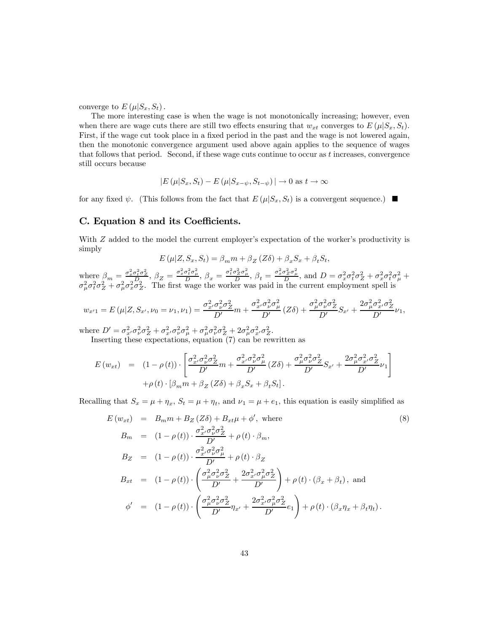converge to  $E(\mu|S_x, S_t)$ .

The more interesting case is when the wage is not monotonically increasing; however, even when there are wage cuts there are still two effects ensuring that  $w_{xt}$  converges to  $E(\mu|S_x, S_t)$ . First, if the wage cut took place in a fixed period in the past and the wage is not lowered again, then the monotonic convergence argument used above again applies to the sequence of wages that follows that period. Second, if these wage cuts continue to occur as  $t$  increases, convergence still occurs because

$$
|E(\mu|S_x, S_t) - E(\mu|S_{x-\psi}, S_{t-\psi})| \to 0 \text{ as } t \to \infty
$$

for any fixed  $\psi$ . (This follows from the fact that  $E(\mu|S_x, S_t)$  is a convergent sequence.)

## C. Equation 8 and its Coefficients.

With Z added to the model the current employer's expectation of the worker's productivity is simply

$$
E(\mu|Z, S_x, S_t) = \beta_m m + \beta_Z (Z\delta) + \beta_x S_x + \beta_t S_t,
$$

where  $\beta_m = \frac{\sigma_x^2 \sigma_t^2 \sigma_Z^2}{\delta D_0}, \beta_Z = \frac{\sigma_x^2 \sigma_t^2 \sigma_\mu^2}{D}, \beta_x = \frac{\sigma_t^2 \sigma_Z^2 \sigma_\mu^2}{D}, \beta_t = \frac{\sigma_x^2 \sigma_Z^2 \sigma_\mu^2}{D}, \text{ and } D = \sigma_x^2 \sigma_t^2 \sigma_Z^2 + \sigma_x^2 \sigma_t^2 \sigma_\mu^2 +$  $\sigma_{\mu}^2 \sigma_t^2 \sigma_Z^2 + \sigma_{\mu}^2 \sigma_x^2 \sigma_Z^2$ . The first wage the worker was paid in the current employment spell is

$$
w_{x'1} = E(\mu | Z, S_{x'}, \nu_0 = \nu_1, \nu_1) = \frac{\sigma_{x'}^2 \sigma_{\nu}^2 \sigma_Z^2}{D'} m + \frac{\sigma_{x'}^2 \sigma_{\nu}^2 \sigma_{\mu}^2}{D'} (Z\delta) + \frac{\sigma_{\mu}^2 \sigma_{\nu}^2 \sigma_Z^2}{D'} S_{x'} + \frac{2\sigma_{\mu}^2 \sigma_{x'}^2 \sigma_Z^2}{D'} \nu_1,
$$

where  $D' = \sigma_{x'}^2 \sigma_{\nu}^2 \sigma_Z^2 + \sigma_{x'}^2 \sigma_{\nu}^2 \sigma_{\mu}^2 + \sigma_{\mu}^2 \sigma_{\nu}^2 \sigma_Z^2 + 2 \sigma_{\mu}^2 \sigma_{x'}^2 \sigma_Z^2$ .

Inserting these expectations, equation (7) can be rewritten as

$$
E(w_{xt}) = (1 - \rho(t)) \cdot \left[ \frac{\sigma_{x'}^2 \sigma_{\nu}^2 \sigma_Z^2}{D'} m + \frac{\sigma_{x'}^2 \sigma_{\nu}^2 \sigma_{\mu}^2}{D'} (Z\delta) + \frac{\sigma_{\mu}^2 \sigma_{\nu'}^2 \sigma_Z^2}{D'} S_{x'} + \frac{2\sigma_{\mu}^2 \sigma_{x'}^2 \sigma_Z^2}{D'} \nu_1 \right] + \rho(t) \cdot \left[ \beta_m m + \beta_Z (Z\delta) + \beta_x S_x + \beta_t S_t \right].
$$

Recalling that  $S_x = \mu + \eta_x$ ,  $S_t = \mu + \eta_t$ , and  $\nu_1 = \mu + e_1$ , this equation is easily simplified as

$$
E(w_{xt}) = B_m m + B_Z (Z\delta) + B_{xt}\mu + \phi', \text{ where}
$$
\n
$$
B_m = (1 - \rho(t)) \cdot \frac{\sigma_x^2 \sigma_\nu^2 \sigma_Z^2}{D'} + \rho(t) \cdot \beta_m,
$$
\n
$$
B_Z = (1 - \rho(t)) \cdot \frac{\sigma_x^2 \sigma_\nu^2 \sigma_\mu^2}{D'} + \rho(t) \cdot \beta_Z
$$
\n
$$
B_{xt} = (1 - \rho(t)) \cdot \left(\frac{\sigma_\mu^2 \sigma_\nu^2 \sigma_Z^2}{D'} + \frac{2\sigma_x^2 \sigma_\mu^2 \sigma_Z^2}{D'}\right) + \rho(t) \cdot (\beta_x + \beta_t), \text{ and}
$$
\n
$$
\phi' = (1 - \rho(t)) \cdot \left(\frac{\sigma_\mu^2 \sigma_\nu^2 \sigma_Z^2}{D'} \eta_{x'} + \frac{2\sigma_x^2 \sigma_\mu^2 \sigma_Z^2}{D'} e_1\right) + \rho(t) \cdot (\beta_x \eta_x + \beta_t \eta_t).
$$
\n
$$
(8)
$$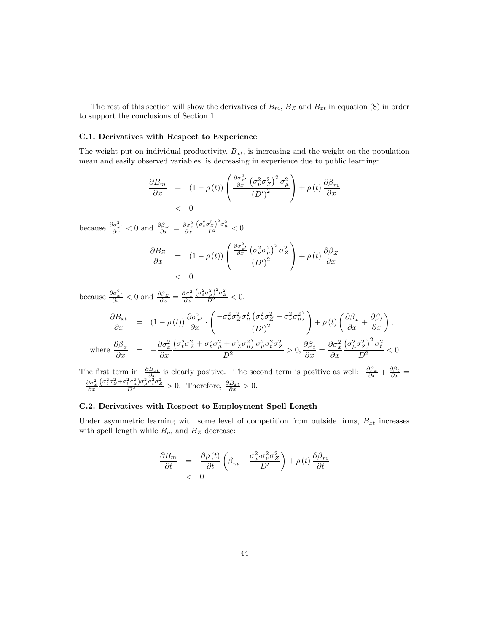The rest of this section will show the derivatives of  $B_m$ ,  $B_Z$  and  $B_{xt}$  in equation (8) in order to support the conclusions of Section 1.

### C.1. Derivatives with Respect to Experience

The weight put on individual productivity,  $B_{xt}$ , is increasing and the weight on the population mean and easily observed variables, is decreasing in experience due to public learning:

$$
\frac{\partial B_m}{\partial x} = (1 - \rho(t)) \left( \frac{\frac{\partial \sigma_{x'}^2}{\partial x} \left( \sigma_{\nu}^2 \sigma_Z^2 \right)^2 \sigma_{\mu}^2}{\left( D' \right)^2} \right) + \rho(t) \frac{\partial \beta_m}{\partial x}
$$
  
< 0

because  $\frac{\partial \sigma_{x'}^2}{\partial x} < 0$  and  $\frac{\partial \beta_m}{\partial x} = \frac{\partial \sigma_x^2}{\partial x}$  $\frac{\left(\sigma_t^2 \sigma_Z^2\right)^2 \sigma_\mu^2}{D^2} < 0.$ 

$$
\frac{\partial B_Z}{\partial x} = (1 - \rho(t)) \left( \frac{\frac{\partial \sigma_{x'}^2}{\partial x} \left( \sigma_{\nu}^2 \sigma_{\mu}^2 \right)^2 \sigma_Z^2}{\left( D' \right)^2} \right) + \rho(t) \frac{\partial \beta_Z}{\partial x}
$$
  
< 0

because  $\frac{\partial \sigma_{x'}^2}{\partial x} < 0$  and  $\frac{\partial \beta_Z}{\partial x} = \frac{\partial \sigma_x^2}{\partial x}$  $\frac{(\sigma_t^2 \sigma_\mu^2)^2 \sigma_Z^2}{D^2} < 0.$  $\frac{\partial B_{xt}}{\partial x}$  =  $(1 - \rho(t)) \frac{\partial \sigma_{x'}^2}{\partial x}$ .  $\left( -\sigma_\nu^2 \sigma_Z^2 \sigma_\mu^2 \left(\sigma_\nu^2 \sigma_Z^2 + \sigma_\nu^2 \sigma_\mu^2 \right) \right.$  $(D')^2$ !  $+\rho(t)\left(\frac{\partial \beta_x}{\partial x} + \frac{\partial \beta_t}{\partial x}\right),$ where  $\frac{\partial \beta_x}{\partial x} = -\frac{\partial \sigma_x^2}{\partial x}$ ∂x  $\frac{\left(\sigma_t^2 \sigma_Z^2 + \sigma_t^2 \sigma_\mu^2 + \sigma_Z^2 \sigma_\mu^2\right) \sigma_\mu^2 \sigma_t^2 \sigma_Z^2}{D^2} > 0, \frac{\partial \beta_t}{\partial x} = \frac{\partial \sigma_x^2}{\partial x}$  $\partial x$  $\frac{\left(\sigma_\mu^2 \sigma_Z^2\right)^2 \sigma_t^2}{D^2} < 0$ 

The first term in  $\frac{\partial B_{xt}}{\partial x}$  is clearly positive. The second term is positive as well:  $\frac{\partial \beta_x}{\partial x} + \frac{\partial \beta_t}{\partial x} =$  $-\frac{\partial \sigma_x^2}{\partial x}$  $\frac{(\sigma_t^2 \sigma_Z^2 + \sigma_t^2 \sigma_\mu^2) \sigma_\mu^2 \sigma_t^2 \sigma_Z^2}{D^2} > 0$ . Therefore,  $\frac{\partial B_{xt}}{\partial x} > 0$ .

### C.2. Derivatives with Respect to Employment Spell Length

Under asymmetric learning with some level of competition from outside firms,  $B_{xt}$  increases with spell length while  $B_m$  and  $B_Z$  decrease:

$$
\frac{\partial B_m}{\partial t} = \frac{\partial \rho(t)}{\partial t} \left( \beta_m - \frac{\sigma_{x'}^2 \sigma_{\nu}^2 \sigma_Z^2}{D'} \right) + \rho(t) \frac{\partial \beta_m}{\partial t}
$$
  
< 0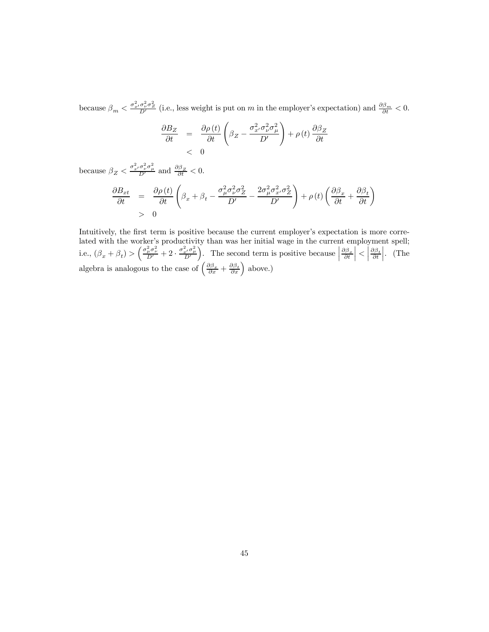because  $\beta_m < \frac{\sigma_{x'}^2 \sigma_{x'}^2 \sigma_Z^2}{D'}$  (i.e., less weight is put on m in the employer's expectation) and  $\frac{\partial \beta_m}{\partial t} < 0$ .

$$
\frac{\partial B_Z}{\partial t} = \frac{\partial \rho(t)}{\partial t} \left( \beta_Z - \frac{\sigma_{x'}^2 \sigma_{\nu}^2 \sigma_{\mu}^2}{D'} \right) + \rho(t) \frac{\partial \beta_Z}{\partial t}
$$
  
< 0

because  $\beta_Z < \frac{\sigma_x^2 \sigma_\nu^2 \sigma_\mu^2}{D'}$  and  $\frac{\partial \beta_Z}{\partial t} < 0$ .

$$
\begin{array}{rcl}\n\frac{\partial B_{xt}}{\partial t} & = & \frac{\partial \rho\left(t\right)}{\partial t} \left(\beta_x + \beta_t - \frac{\sigma_\mu^2 \sigma_\nu^2 \sigma_Z^2}{D'} - \frac{2\sigma_\mu^2 \sigma_{x'}^2 \sigma_Z^2}{D'}\right) + \rho\left(t\right) \left(\frac{\partial \beta_x}{\partial t} + \frac{\partial \beta_t}{\partial t}\right) \\
& > & 0\n\end{array}
$$

Intuitively, the first term is positive because the current employer's expectation is more correlated with the worker's productivity than was her initial wage in the current employment spell; i.e.,  $(\beta_x + \beta_t) > \left(\frac{\sigma_{\mu}^2 \sigma_{\nu}^2}{D'} + 2 \cdot \frac{\sigma_{x'}^2 \sigma_{\mu}^2}{D'}\right)$  $\left| \int_{a}^{b}$  The second term is positive because  $\frac{\partial \beta_x}{\partial t}$  $\vert$  <  $\vert$  $\frac{\partial \beta_t}{\partial t}$  $\Big\vert \cdot \Big\vert$  (The algebra is analogous to the case of  $\left(\frac{\partial \beta_x}{\partial x} + \frac{\partial \beta_t}{\partial x}\right)$  above.)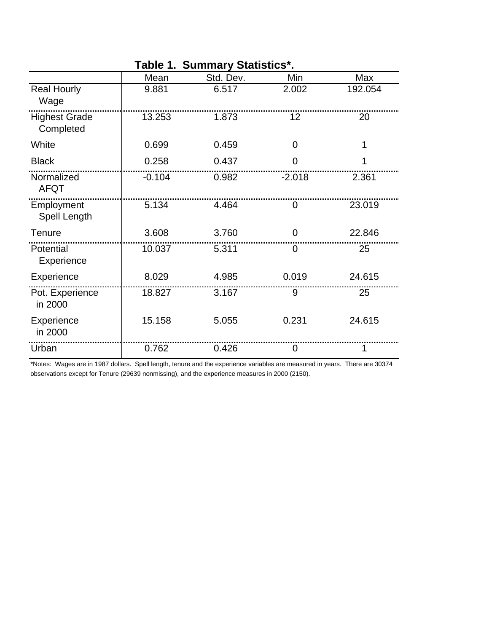|                                   | Mean     | Std. Dev. | Min      | Max     |
|-----------------------------------|----------|-----------|----------|---------|
| <b>Real Hourly</b><br>Wage        | 9.881    | 6.517     | 2.002    | 192.054 |
| <b>Highest Grade</b><br>Completed | 13.253   | 1.873     | 12       | 20      |
| White                             | 0.699    | 0.459     | 0        | 1       |
| <b>Black</b>                      | 0.258    | 0.437     | ი        |         |
| Normalized<br><b>AFQT</b>         | $-0.104$ | 0.982     | $-2.018$ | 2.361   |
| Employment<br>Spell Length        | 5.134    | 4.464     | O        | 23.019  |
| Tenure                            | 3.608    | 3.760     | ი        | 22.846  |
| Potential<br>Experience           | 10.037   | 5.311     | O        | 25      |
| Experience                        | 8.029    | 4.985     | 0.019    | 24.615  |
| Pot. Experience<br>in 2000        | 18.827   | 3.167     | 9        | 25      |
| Experience<br>in 2000             | 15.158   | 5.055     | 0.231    | 24.615  |
| Urban                             | 0.762    | 0.426     | 0        |         |

## **Table 1. Summary Statistics\*.**

\*Notes: Wages are in 1987 dollars. Spell length, tenure and the experience variables are measured in years. There are 30374 observations except for Tenure (29639 nonmissing), and the experience measures in 2000 (2150).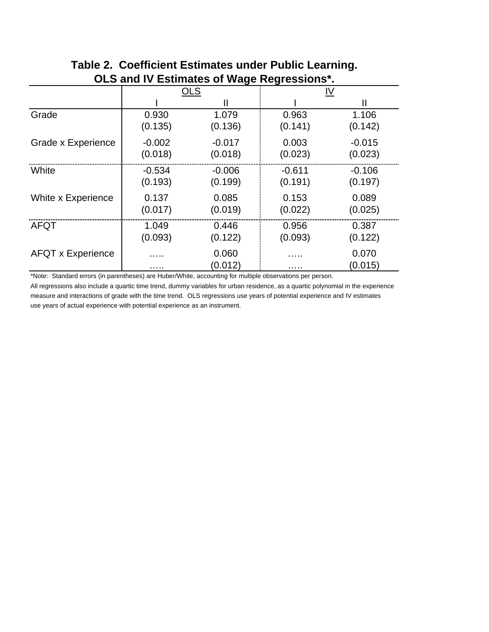| OLS and iv Estimates of wage Regressions. |            |                  |          |                  |
|-------------------------------------------|------------|------------------|----------|------------------|
|                                           | <b>OLS</b> |                  | IV       |                  |
|                                           |            |                  |          |                  |
| Grade                                     | 0.930      | 1.079            | 0.963    | 1.106            |
|                                           | (0.135)    | (0.136)          | (0.141)  | (0.142)          |
| Grade x Experience                        | $-0.002$   | $-0.017$         | 0.003    | $-0.015$         |
|                                           | (0.018)    | (0.018)          | (0.023)  | (0.023)          |
| White                                     | $-0.534$   | $-0.006$         | $-0.611$ | $-0.106$         |
|                                           | (0.193)    | (0.199)          | (0.191)  | (0.197)          |
| White x Experience                        | 0.137      | 0.085            | 0.153    | 0.089            |
|                                           | (0.017)    | (0.019)          | (0.022)  | (0.025)          |
| AFQT                                      | 1.049      | 0.446            | 0.956    | 0.387            |
|                                           | (0.093)    | (0.122)          | (0.093)  | (0.122)          |
| <b>AFQT x Experience</b>                  |            | 0.060<br>(0.012) | .        | 0.070<br>(0.015) |

## **Table 2. Coefficient Estimates under Public Learning. OLS and IV Estimates of Wage Regressions\*.**

\*Note: Standard errors (in parentheses) are Huber/White, accounting for multiple observations per person.

All regressions also include a quartic time trend, dummy variables for urban residence, as a quartic polynomial in the experience measure and interactions of grade with the time trend. OLS regressions use years of potential experience and IV estimates use years of actual experience with potential experience as an instrument.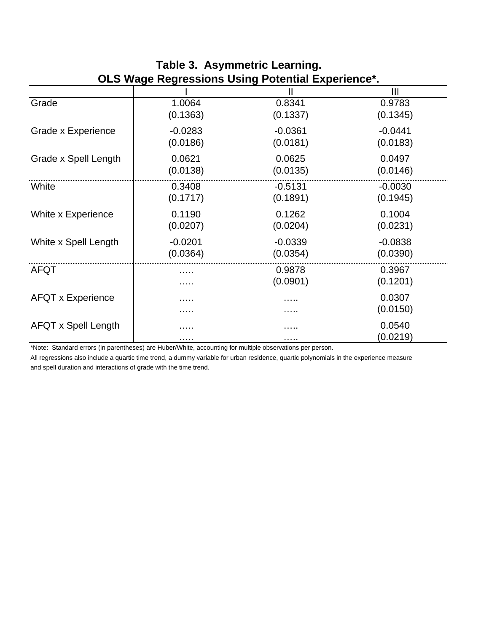| <u>ULU Maya Kayi cəsiblis Usliy Türkilim Lapatalıcı .</u> |           |           |           |
|-----------------------------------------------------------|-----------|-----------|-----------|
|                                                           |           |           | Ш         |
| Grade                                                     | 1.0064    | 0.8341    | 0.9783    |
|                                                           | (0.1363)  | (0.1337)  | (0.1345)  |
| Grade x Experience                                        | $-0.0283$ | $-0.0361$ | $-0.0441$ |
|                                                           | (0.0186)  | (0.0181)  | (0.0183)  |
| Grade x Spell Length                                      | 0.0621    | 0.0625    | 0.0497    |
|                                                           | (0.0138)  | (0.0135)  | (0.0146)  |
| White                                                     | 0.3408    | $-0.5131$ | $-0.0030$ |
|                                                           | (0.1717)  | (0.1891)  | (0.1945)  |
| White x Experience                                        | 0.1190    | 0.1262    | 0.1004    |
|                                                           | (0.0207)  | (0.0204)  | (0.0231)  |
| White x Spell Length                                      | $-0.0201$ | $-0.0339$ | $-0.0838$ |
|                                                           | (0.0364)  | (0.0354)  | (0.0390)  |
| <b>AFQT</b>                                               | .         | 0.9878    | 0.3967    |
|                                                           | .         | (0.0901)  | (0.1201)  |
| <b>AFQT x Experience</b>                                  |           |           | 0.0307    |
|                                                           | .         | .         | (0.0150)  |
| <b>AFQT x Spell Length</b>                                | .         |           | 0.0540    |
|                                                           | .         | .         | (0.0219)  |

## **Table 3. Asymmetric Learning. OLS Wage Regressions Using Potential Experience\*.**

\*Note: Standard errors (in parentheses) are Huber/White, accounting for multiple observations per person.

All regressions also include a quartic time trend, a dummy variable for urban residence, quartic polynomials in the experience measure and spell duration and interactions of grade with the time trend.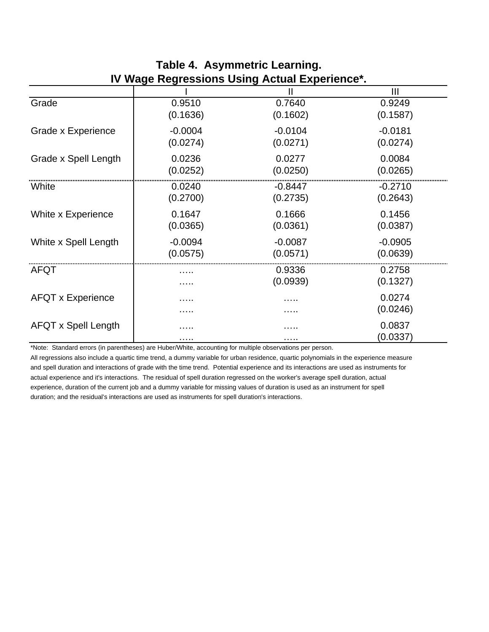|                            |           | <u>IV WAYE NEYIESSIUIIS USIIIY ACLUAI LAPEITEIICE .</u> |           |
|----------------------------|-----------|---------------------------------------------------------|-----------|
|                            |           |                                                         | Ш         |
| Grade                      | 0.9510    | 0.7640                                                  | 0.9249    |
|                            | (0.1636)  | (0.1602)                                                | (0.1587)  |
| Grade x Experience         | $-0.0004$ | $-0.0104$                                               | $-0.0181$ |
|                            | (0.0274)  | (0.0271)                                                | (0.0274)  |
| Grade x Spell Length       | 0.0236    | 0.0277                                                  | 0.0084    |
|                            | (0.0252)  | (0.0250)                                                | (0.0265)  |
| White                      | 0.0240    | -0.8447                                                 | $-0.2710$ |
|                            | (0.2700)  | (0.2735)                                                | (0.2643)  |
| White x Experience         | 0.1647    | 0.1666                                                  | 0.1456    |
|                            | (0.0365)  | (0.0361)                                                | (0.0387)  |
| White x Spell Length       | $-0.0094$ | $-0.0087$                                               | $-0.0905$ |
|                            | (0.0575)  | (0.0571)                                                | (0.0639)  |
| <b>AFQT</b>                |           | 0.9336                                                  | 0.2758    |
|                            |           | (0.0939)                                                | (0.1327)  |
| <b>AFQT x Experience</b>   |           | .                                                       | 0.0274    |
|                            |           |                                                         | (0.0246)  |
| <b>AFQT x Spell Length</b> |           | .                                                       | 0.0837    |
|                            | .         | .                                                       | (0.0337)  |

## **Table 4. Asymmetric Learning. IV Wage Regressions Using Actual Experience\*.**

\*Note: Standard errors (in parentheses) are Huber/White, accounting for multiple observations per person.

All regressions also include a quartic time trend, a dummy variable for urban residence, quartic polynomials in the experience measure and spell duration and interactions of grade with the time trend. Potential experience and its interactions are used as instruments for actual experience and it's interactions. The residual of spell duration regressed on the worker's average spell duration, actual experience, duration of the current job and a dummy variable for missing values of duration is used as an instrument for spell duration; and the residual's interactions are used as instruments for spell duration's interactions.